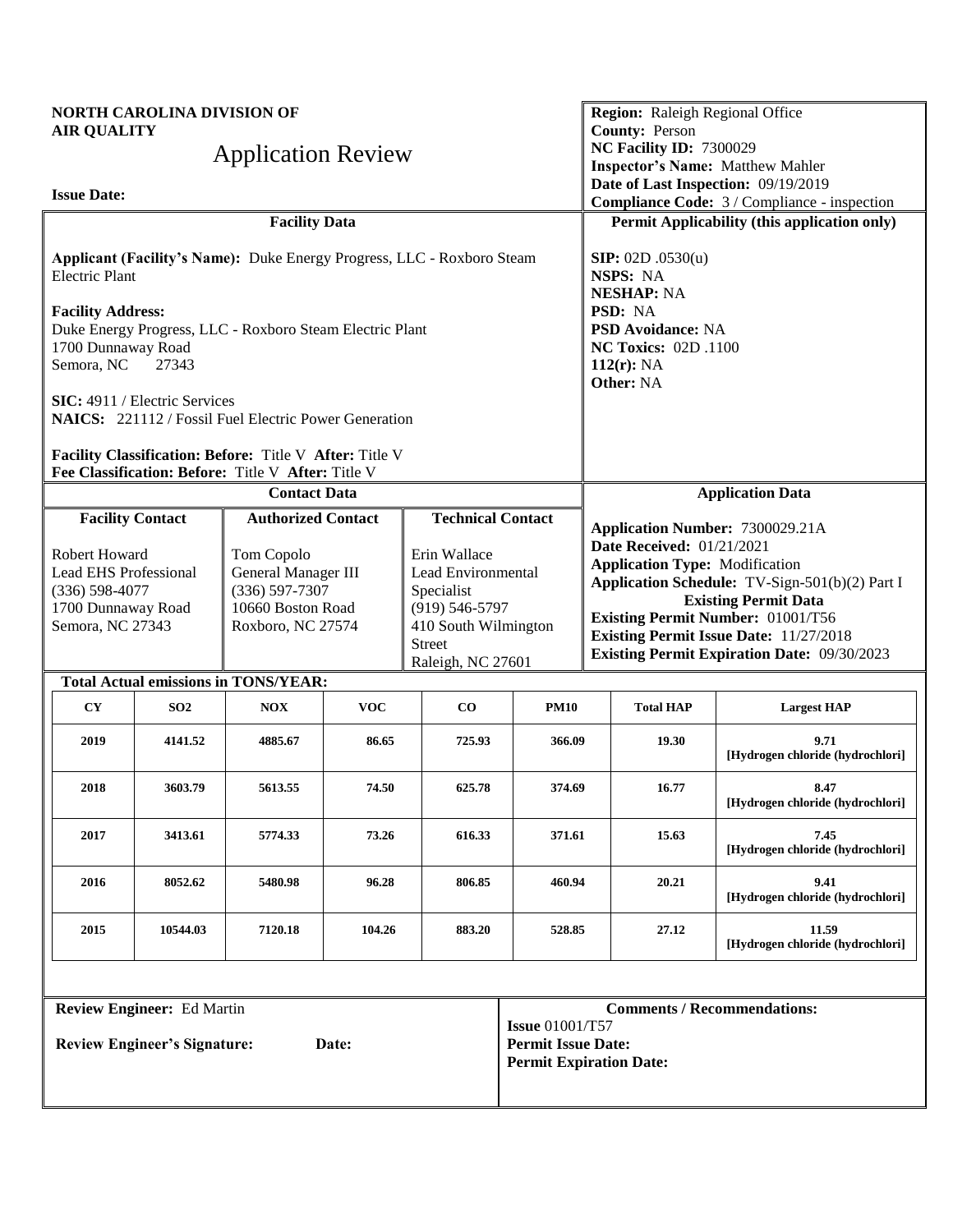|                                                              | <b>NORTH CAROLINA DIVISION OF</b><br><b>AIR QUALITY</b><br><b>Application Review</b>                                                                                                                                                                                                                                                                       |                                                                                                               |            |                          |                                                                                                                                                                                                                                                                                                               |                                                                                     | <b>Region:</b> Raleigh Regional Office<br><b>County: Person</b><br>NC Facility ID: 7300029 | <b>Inspector's Name: Matthew Mahler</b>                                             |  |
|--------------------------------------------------------------|------------------------------------------------------------------------------------------------------------------------------------------------------------------------------------------------------------------------------------------------------------------------------------------------------------------------------------------------------------|---------------------------------------------------------------------------------------------------------------|------------|--------------------------|---------------------------------------------------------------------------------------------------------------------------------------------------------------------------------------------------------------------------------------------------------------------------------------------------------------|-------------------------------------------------------------------------------------|--------------------------------------------------------------------------------------------|-------------------------------------------------------------------------------------|--|
| <b>Issue Date:</b>                                           |                                                                                                                                                                                                                                                                                                                                                            |                                                                                                               |            |                          |                                                                                                                                                                                                                                                                                                               |                                                                                     |                                                                                            | Date of Last Inspection: 09/19/2019<br>Compliance Code: 3 / Compliance - inspection |  |
|                                                              |                                                                                                                                                                                                                                                                                                                                                            | <b>Facility Data</b>                                                                                          |            |                          |                                                                                                                                                                                                                                                                                                               |                                                                                     |                                                                                            | Permit Applicability (this application only)                                        |  |
| <b>Electric Plant</b>                                        |                                                                                                                                                                                                                                                                                                                                                            | Applicant (Facility's Name): Duke Energy Progress, LLC - Roxboro Steam                                        |            |                          |                                                                                                                                                                                                                                                                                                               |                                                                                     | <b>SIP:</b> $02D \cdot 0530(u)$<br>NSPS: NA<br><b>NESHAP: NA</b>                           |                                                                                     |  |
| <b>Facility Address:</b><br>1700 Dunnaway Road<br>Semora, NC | 27343                                                                                                                                                                                                                                                                                                                                                      | Duke Energy Progress, LLC - Roxboro Steam Electric Plant                                                      |            |                          |                                                                                                                                                                                                                                                                                                               | PSD: NA<br><b>PSD Avoidance: NA</b><br><b>NC Toxics: 02D .1100</b><br>$112(r)$ : NA |                                                                                            |                                                                                     |  |
|                                                              | SIC: 4911 / Electric Services                                                                                                                                                                                                                                                                                                                              | <b>NAICS:</b> 221112 / Fossil Fuel Electric Power Generation                                                  |            |                          |                                                                                                                                                                                                                                                                                                               |                                                                                     | Other: NA                                                                                  |                                                                                     |  |
|                                                              |                                                                                                                                                                                                                                                                                                                                                            | Facility Classification: Before: Title V After: Title V<br>Fee Classification: Before: Title V After: Title V |            |                          |                                                                                                                                                                                                                                                                                                               |                                                                                     |                                                                                            |                                                                                     |  |
|                                                              |                                                                                                                                                                                                                                                                                                                                                            | <b>Contact Data</b>                                                                                           |            |                          |                                                                                                                                                                                                                                                                                                               |                                                                                     |                                                                                            | <b>Application Data</b>                                                             |  |
|                                                              | <b>Facility Contact</b>                                                                                                                                                                                                                                                                                                                                    | <b>Authorized Contact</b>                                                                                     |            | <b>Technical Contact</b> |                                                                                                                                                                                                                                                                                                               | Application Number: 7300029.21A                                                     |                                                                                            |                                                                                     |  |
|                                                              | Robert Howard<br>Erin Wallace<br>Tom Copolo<br><b>Lead EHS Professional</b><br>General Manager III<br>Lead Environmental<br>$(336) 597 - 7307$<br>$(336) 598 - 4077$<br>Specialist<br>10660 Boston Road<br>1700 Dunnaway Road<br>$(919) 546 - 5797$<br>Semora, NC 27343<br>Roxboro, NC 27574<br>410 South Wilmington<br><b>Street</b><br>Raleigh, NC 27601 |                                                                                                               |            |                          | <b>Date Received: 01/21/2021</b><br><b>Application Type: Modification</b><br>Application Schedule: TV-Sign-501(b)(2) Part I<br><b>Existing Permit Data</b><br><b>Existing Permit Number: 01001/T56</b><br><b>Existing Permit Issue Date: 11/27/2018</b><br><b>Existing Permit Expiration Date: 09/30/2023</b> |                                                                                     |                                                                                            |                                                                                     |  |
|                                                              |                                                                                                                                                                                                                                                                                                                                                            | <b>Total Actual emissions in TONS/YEAR:</b>                                                                   |            |                          |                                                                                                                                                                                                                                                                                                               |                                                                                     |                                                                                            |                                                                                     |  |
| <b>CY</b>                                                    | SO <sub>2</sub>                                                                                                                                                                                                                                                                                                                                            | <b>NOX</b>                                                                                                    | <b>VOC</b> | $\bf CO$                 | <b>PM10</b>                                                                                                                                                                                                                                                                                                   |                                                                                     | <b>Total HAP</b>                                                                           | <b>Largest HAP</b>                                                                  |  |
| 2019                                                         | 4141.52                                                                                                                                                                                                                                                                                                                                                    | 4885.67                                                                                                       | 86.65      | 725.93                   | 366.09                                                                                                                                                                                                                                                                                                        |                                                                                     | 19.30                                                                                      | 9.71<br>[Hydrogen chloride (hydrochlori]                                            |  |
| 2018                                                         | 3603.79                                                                                                                                                                                                                                                                                                                                                    | 5613.55                                                                                                       | 74.50      | 625.78                   | 374.69                                                                                                                                                                                                                                                                                                        |                                                                                     | 16.77                                                                                      | 8.47<br>[Hydrogen chloride (hydrochlori]                                            |  |
| 2017                                                         | 3413.61                                                                                                                                                                                                                                                                                                                                                    | 5774.33                                                                                                       | 73.26      | 616.33                   | 371.61                                                                                                                                                                                                                                                                                                        |                                                                                     | 15.63                                                                                      | 7.45<br>[Hydrogen chloride (hydrochlori]                                            |  |
| 2016                                                         | 8052.62                                                                                                                                                                                                                                                                                                                                                    | 5480.98                                                                                                       | 96.28      | 806.85                   | 460.94                                                                                                                                                                                                                                                                                                        |                                                                                     | 20.21                                                                                      | 9.41<br>[Hydrogen chloride (hydrochlori]                                            |  |
| 2015                                                         | 10544.03                                                                                                                                                                                                                                                                                                                                                   | 7120.18                                                                                                       | 104.26     | 883.20                   | 528.85                                                                                                                                                                                                                                                                                                        |                                                                                     | 27.12                                                                                      | 11.59<br>[Hydrogen chloride (hydrochlori]                                           |  |
|                                                              |                                                                                                                                                                                                                                                                                                                                                            |                                                                                                               |            |                          |                                                                                                                                                                                                                                                                                                               |                                                                                     |                                                                                            |                                                                                     |  |
| <b>Review Engineer:</b> Ed Martin                            |                                                                                                                                                                                                                                                                                                                                                            |                                                                                                               |            |                          |                                                                                                                                                                                                                                                                                                               |                                                                                     |                                                                                            | <b>Comments / Recommendations:</b>                                                  |  |
| <b>Review Engineer's Signature:</b><br>Date:                 |                                                                                                                                                                                                                                                                                                                                                            |                                                                                                               |            |                          | <b>Issue 01001/T57</b><br><b>Permit Issue Date:</b><br><b>Permit Expiration Date:</b>                                                                                                                                                                                                                         |                                                                                     |                                                                                            |                                                                                     |  |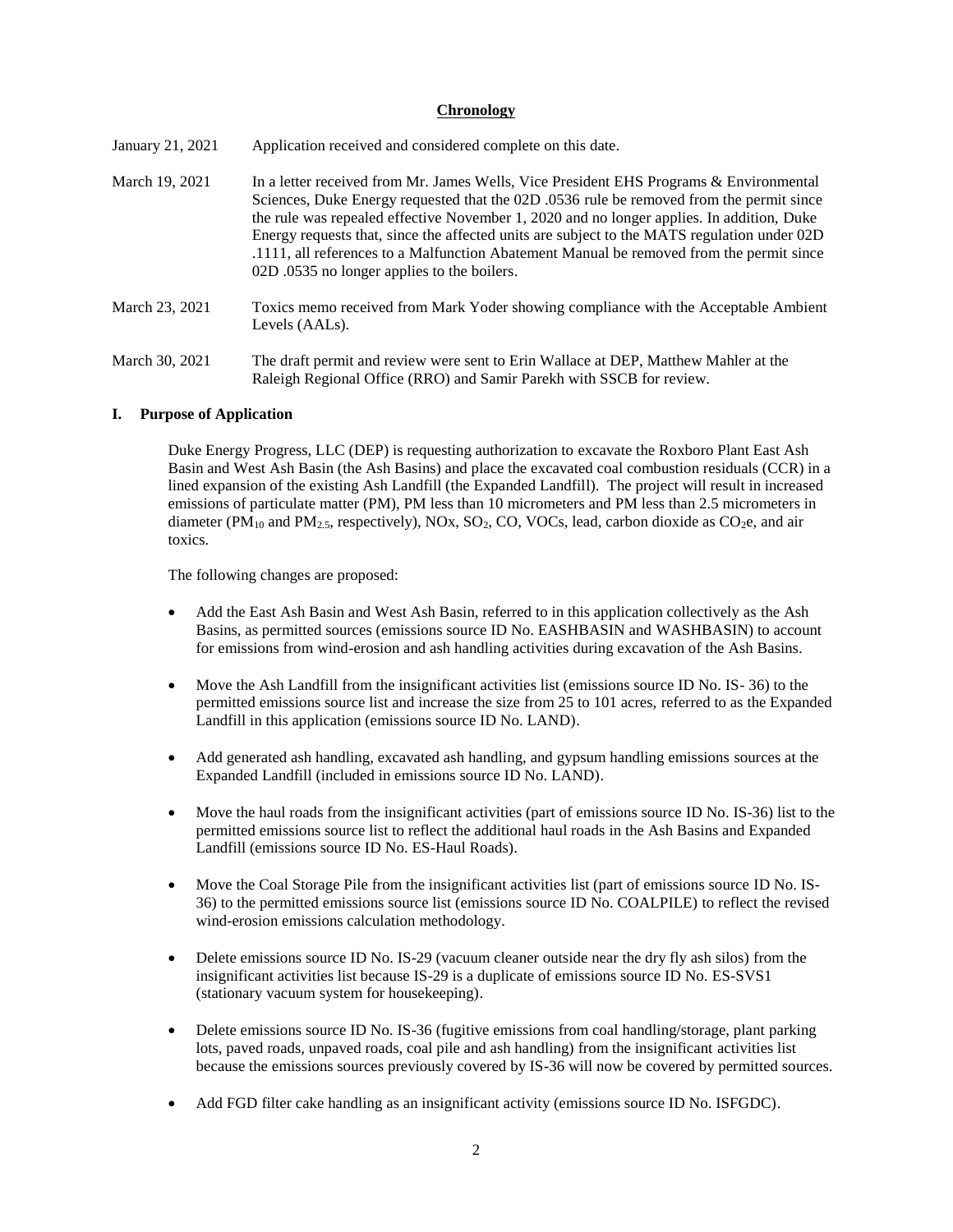### **Chronology**

| January 21, 2021 | Application received and considered complete on this date.                                                                                                                                                                                                                                                                                                                                                                                                                                                                |
|------------------|---------------------------------------------------------------------------------------------------------------------------------------------------------------------------------------------------------------------------------------------------------------------------------------------------------------------------------------------------------------------------------------------------------------------------------------------------------------------------------------------------------------------------|
| March 19, 2021   | In a letter received from Mr. James Wells, Vice President EHS Programs & Environmental<br>Sciences, Duke Energy requested that the 02D .0536 rule be removed from the permit since<br>the rule was repealed effective November 1, 2020 and no longer applies. In addition, Duke<br>Energy requests that, since the affected units are subject to the MATS regulation under 02D<br>.1111, all references to a Malfunction Abatement Manual be removed from the permit since<br>02D .0535 no longer applies to the boilers. |
| March 23, 2021   | Toxics memo received from Mark Yoder showing compliance with the Acceptable Ambient<br>Levels (AALs).                                                                                                                                                                                                                                                                                                                                                                                                                     |
| March 30, 2021   | The draft permit and review were sent to Erin Wallace at DEP, Matthew Mahler at the                                                                                                                                                                                                                                                                                                                                                                                                                                       |

### **I. Purpose of Application**

Duke Energy Progress, LLC (DEP) is requesting authorization to excavate the Roxboro Plant East Ash Basin and West Ash Basin (the Ash Basins) and place the excavated coal combustion residuals (CCR) in a lined expansion of the existing Ash Landfill (the Expanded Landfill). The project will result in increased emissions of particulate matter (PM), PM less than 10 micrometers and PM less than 2.5 micrometers in diameter ( $PM_{10}$  and  $PM_{2.5}$ , respectively), NOx, SO<sub>2</sub>, CO, VOCs, lead, carbon dioxide as CO<sub>2</sub>e, and air toxics.

Raleigh Regional Office (RRO) and Samir Parekh with SSCB for review.

The following changes are proposed:

- Add the East Ash Basin and West Ash Basin, referred to in this application collectively as the Ash Basins, as permitted sources (emissions source ID No. EASHBASIN and WASHBASIN) to account for emissions from wind-erosion and ash handling activities during excavation of the Ash Basins.
- Move the Ash Landfill from the insignificant activities list (emissions source ID No. IS-36) to the permitted emissions source list and increase the size from 25 to 101 acres, referred to as the Expanded Landfill in this application (emissions source ID No. LAND).
- Add generated ash handling, excavated ash handling, and gypsum handling emissions sources at the Expanded Landfill (included in emissions source ID No. LAND).
- Move the haul roads from the insignificant activities (part of emissions source ID No. IS-36) list to the permitted emissions source list to reflect the additional haul roads in the Ash Basins and Expanded Landfill (emissions source ID No. ES-Haul Roads).
- Move the Coal Storage Pile from the insignificant activities list (part of emissions source ID No. IS-36) to the permitted emissions source list (emissions source ID No. COALPILE) to reflect the revised wind-erosion emissions calculation methodology.
- Delete emissions source ID No. IS-29 (vacuum cleaner outside near the dry fly ash silos) from the insignificant activities list because IS-29 is a duplicate of emissions source ID No. ES-SVS1 (stationary vacuum system for housekeeping).
- Delete emissions source ID No. IS-36 (fugitive emissions from coal handling/storage, plant parking lots, paved roads, unpaved roads, coal pile and ash handling) from the insignificant activities list because the emissions sources previously covered by IS-36 will now be covered by permitted sources.
- Add FGD filter cake handling as an insignificant activity (emissions source ID No. ISFGDC).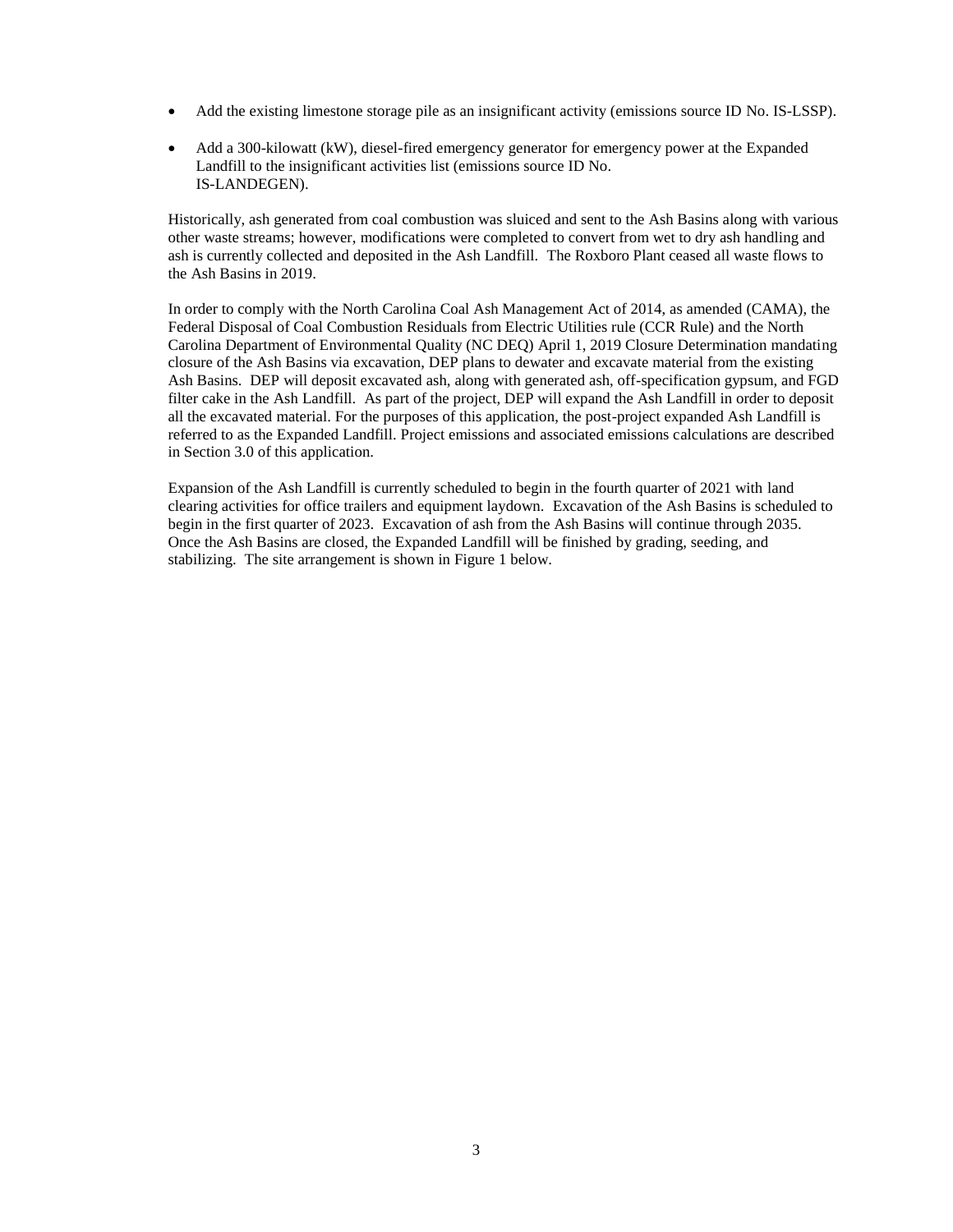- Add the existing limestone storage pile as an insignificant activity (emissions source ID No. IS-LSSP).
- Add a 300-kilowatt (kW), diesel-fired emergency generator for emergency power at the Expanded Landfill to the insignificant activities list (emissions source ID No. IS-LANDEGEN).

Historically, ash generated from coal combustion was sluiced and sent to the Ash Basins along with various other waste streams; however, modifications were completed to convert from wet to dry ash handling and ash is currently collected and deposited in the Ash Landfill. The Roxboro Plant ceased all waste flows to the Ash Basins in 2019.

In order to comply with the North Carolina Coal Ash Management Act of 2014, as amended (CAMA), the Federal Disposal of Coal Combustion Residuals from Electric Utilities rule (CCR Rule) and the North Carolina Department of Environmental Quality (NC DEQ) April 1, 2019 Closure Determination mandating closure of the Ash Basins via excavation, DEP plans to dewater and excavate material from the existing Ash Basins. DEP will deposit excavated ash, along with generated ash, off-specification gypsum, and FGD filter cake in the Ash Landfill. As part of the project, DEP will expand the Ash Landfill in order to deposit all the excavated material. For the purposes of this application, the post-project expanded Ash Landfill is referred to as the Expanded Landfill. Project emissions and associated emissions calculations are described in Section 3.0 of this application.

Expansion of the Ash Landfill is currently scheduled to begin in the fourth quarter of 2021 with land clearing activities for office trailers and equipment laydown. Excavation of the Ash Basins is scheduled to begin in the first quarter of 2023. Excavation of ash from the Ash Basins will continue through 2035. Once the Ash Basins are closed, the Expanded Landfill will be finished by grading, seeding, and stabilizing. The site arrangement is shown in Figure 1 below.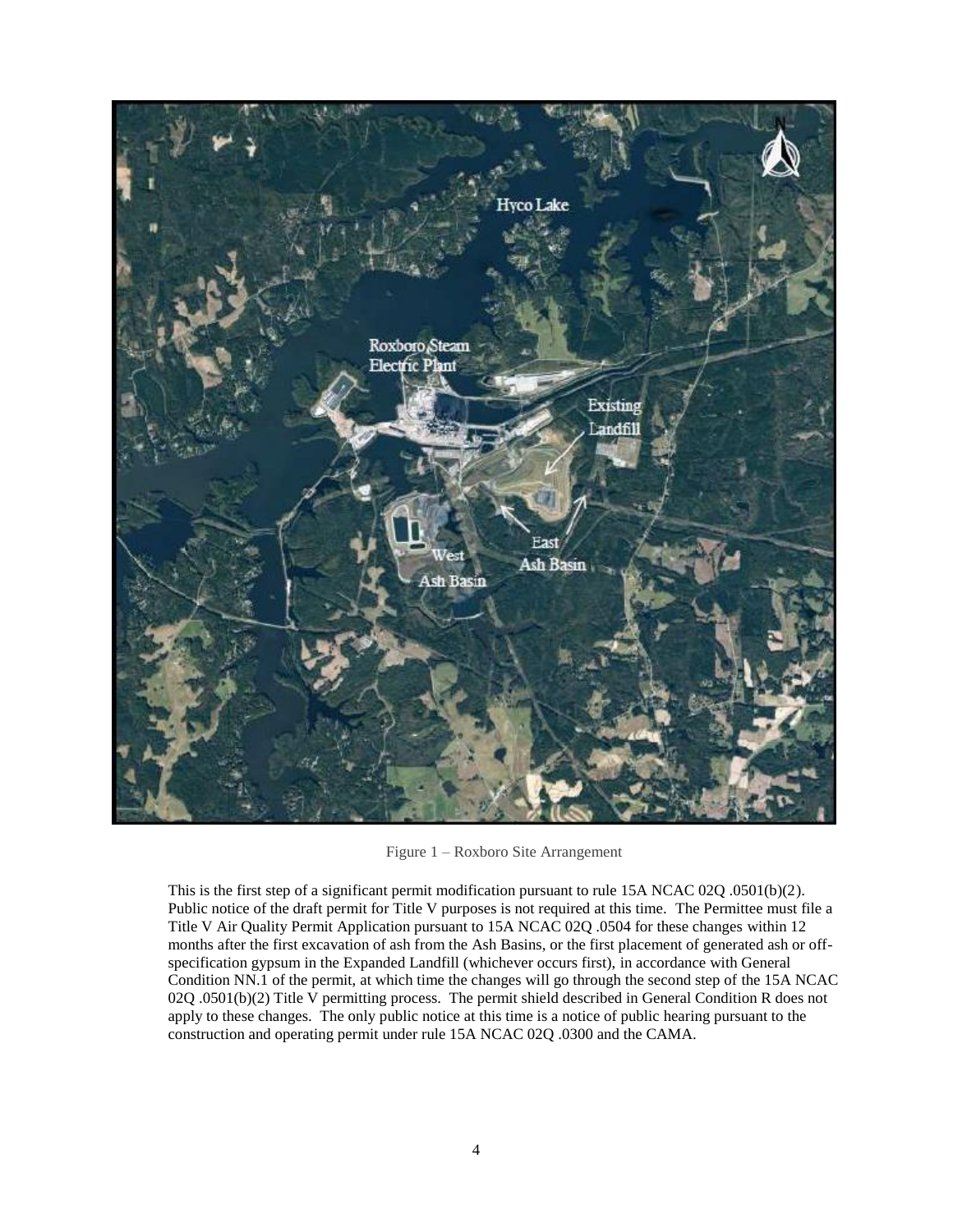

Figure 1 – Roxboro Site Arrangement

This is the first step of a significant permit modification pursuant to rule 15A NCAC 02Q .0501(b)(2). Public notice of the draft permit for Title V purposes is not required at this time. The Permittee must file a Title V Air Quality Permit Application pursuant to 15A NCAC 02Q .0504 for these changes within 12 months after the first excavation of ash from the Ash Basins, or the first placement of generated ash or offspecification gypsum in the Expanded Landfill (whichever occurs first), in accordance with General Condition NN.1 of the permit, at which time the changes will go through the second step of the 15A NCAC 02Q .0501(b)(2) Title V permitting process. The permit shield described in General Condition R does not apply to these changes. The only public notice at this time is a notice of public hearing pursuant to the construction and operating permit under rule 15A NCAC 02Q .0300 and the CAMA.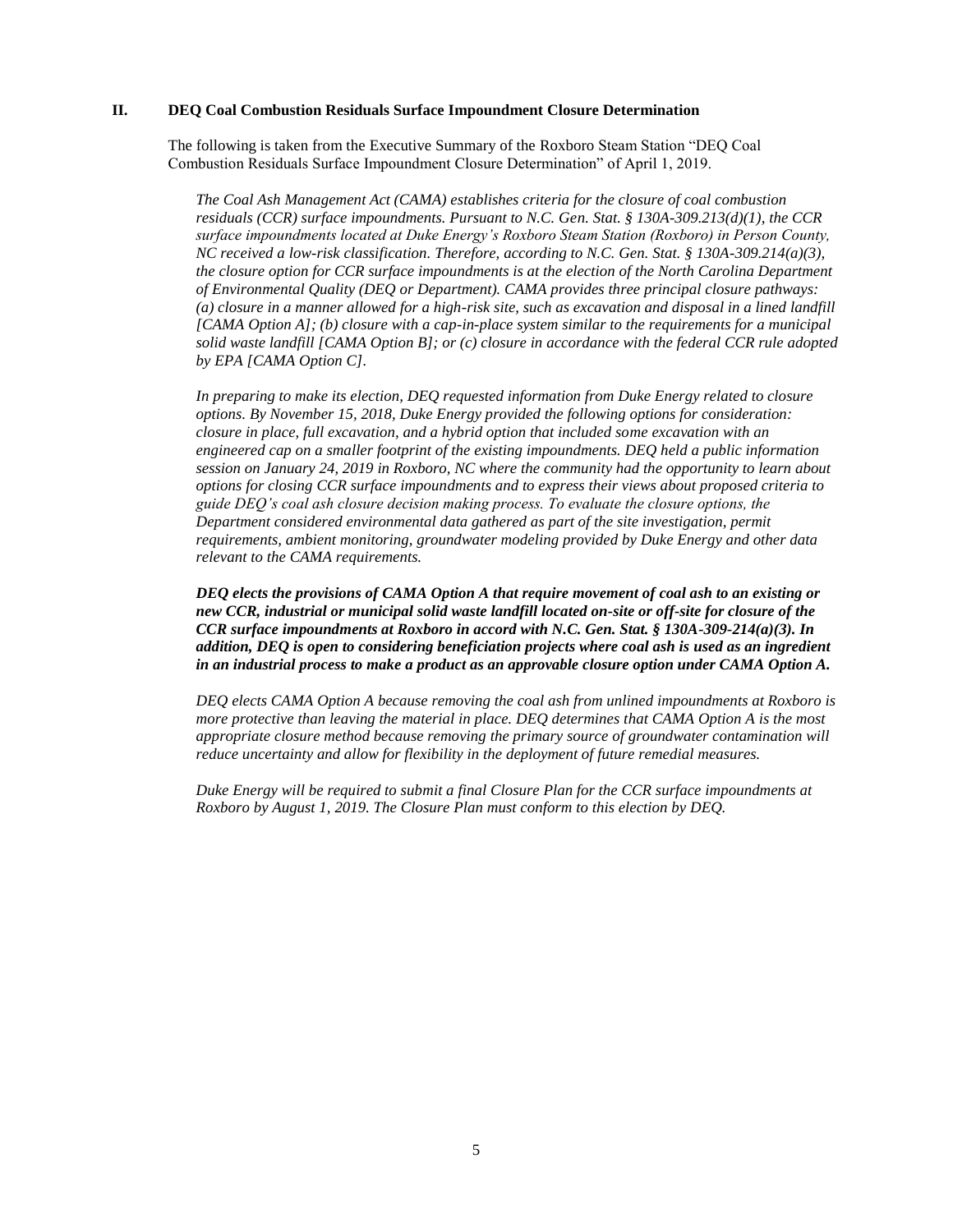### **II. DEQ Coal Combustion Residuals Surface Impoundment Closure Determination**

The following is taken from the Executive Summary of the Roxboro Steam Station "DEQ Coal Combustion Residuals Surface Impoundment Closure Determination" of April 1, 2019.

*The Coal Ash Management Act (CAMA) establishes criteria for the closure of coal combustion residuals (CCR) surface impoundments. Pursuant to N.C. Gen. Stat. § 130A-309.213(d)(1), the CCR surface impoundments located at Duke Energy's Roxboro Steam Station (Roxboro) in Person County, NC received a low-risk classification. Therefore, according to N.C. Gen. Stat. § 130A-309.214(a)(3), the closure option for CCR surface impoundments is at the election of the North Carolina Department of Environmental Quality (DEQ or Department). CAMA provides three principal closure pathways: (a) closure in a manner allowed for a high-risk site, such as excavation and disposal in a lined landfill [CAMA Option A]; (b) closure with a cap-in-place system similar to the requirements for a municipal solid waste landfill [CAMA Option B]; or (c) closure in accordance with the federal CCR rule adopted by EPA [CAMA Option C].* 

*In preparing to make its election, DEQ requested information from Duke Energy related to closure options. By November 15, 2018, Duke Energy provided the following options for consideration: closure in place, full excavation, and a hybrid option that included some excavation with an engineered cap on a smaller footprint of the existing impoundments. DEQ held a public information session on January 24, 2019 in Roxboro, NC where the community had the opportunity to learn about options for closing CCR surface impoundments and to express their views about proposed criteria to guide DEQ's coal ash closure decision making process. To evaluate the closure options, the Department considered environmental data gathered as part of the site investigation, permit requirements, ambient monitoring, groundwater modeling provided by Duke Energy and other data relevant to the CAMA requirements.* 

*DEQ elects the provisions of CAMA Option A that require movement of coal ash to an existing or new CCR, industrial or municipal solid waste landfill located on-site or off-site for closure of the CCR surface impoundments at Roxboro in accord with N.C. Gen. Stat. § 130A-309-214(a)(3). In addition, DEQ is open to considering beneficiation projects where coal ash is used as an ingredient in an industrial process to make a product as an approvable closure option under CAMA Option A.* 

*DEQ elects CAMA Option A because removing the coal ash from unlined impoundments at Roxboro is more protective than leaving the material in place. DEQ determines that CAMA Option A is the most appropriate closure method because removing the primary source of groundwater contamination will reduce uncertainty and allow for flexibility in the deployment of future remedial measures.* 

*Duke Energy will be required to submit a final Closure Plan for the CCR surface impoundments at Roxboro by August 1, 2019. The Closure Plan must conform to this election by DEQ.*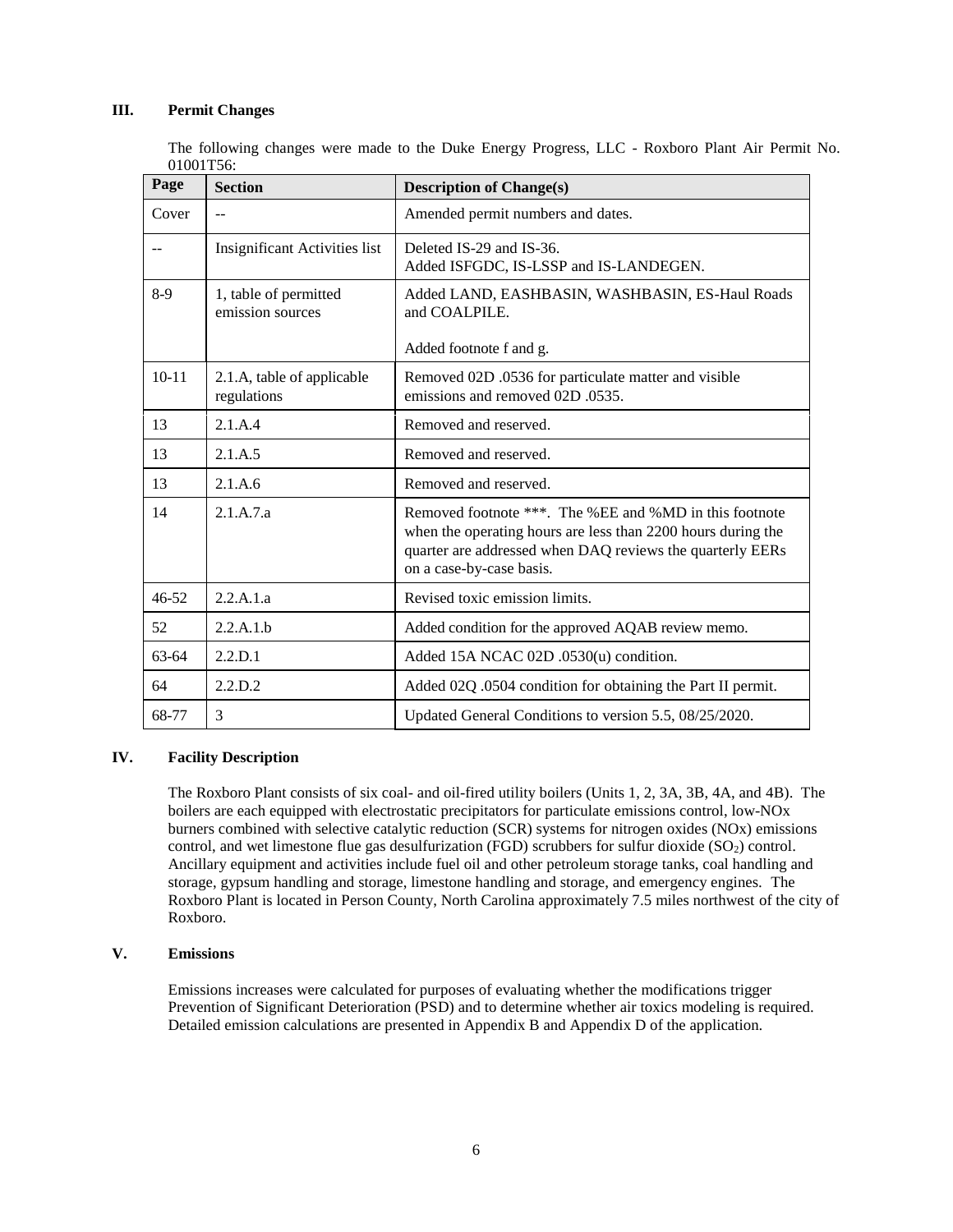### **III. Permit Changes**

The following changes were made to the Duke Energy Progress, LLC - Roxboro Plant Air Permit No. 01001T56:

| Page      | <b>Section</b>                            | <b>Description of Change(s)</b>                                                                                                                                                                                 |
|-----------|-------------------------------------------|-----------------------------------------------------------------------------------------------------------------------------------------------------------------------------------------------------------------|
| Cover     | $-$                                       | Amended permit numbers and dates.                                                                                                                                                                               |
|           | <b>Insignificant Activities list</b>      | Deleted IS-29 and IS-36.<br>Added ISFGDC, IS-LSSP and IS-LANDEGEN.                                                                                                                                              |
| $8-9$     | 1, table of permitted<br>emission sources | Added LAND, EASHBASIN, WASHBASIN, ES-Haul Roads<br>and COALPILE.                                                                                                                                                |
|           |                                           | Added footnote f and g.                                                                                                                                                                                         |
| $10-11$   | 2.1.A, table of applicable<br>regulations | Removed 02D .0536 for particulate matter and visible<br>emissions and removed 02D 0535.                                                                                                                         |
| 13        | 2.1.A.4                                   | Removed and reserved.                                                                                                                                                                                           |
| 13        | 2.1.A.5                                   | Removed and reserved.                                                                                                                                                                                           |
| 13        | 2.1.A.6                                   | Removed and reserved.                                                                                                                                                                                           |
| 14        | 2.1.A.7.a                                 | Removed footnote ***. The %EE and %MD in this footnote<br>when the operating hours are less than 2200 hours during the<br>quarter are addressed when DAQ reviews the quarterly EERs<br>on a case-by-case basis. |
| $46 - 52$ | 2.2.A.1.a                                 | Revised toxic emission limits.                                                                                                                                                                                  |
| 52        | 2.2.A.1.b                                 | Added condition for the approved AQAB review memo.                                                                                                                                                              |
| $63-64$   | 2.2.D.1                                   | Added 15A NCAC 02D .0530(u) condition.                                                                                                                                                                          |
| 64        | 2.2.D.2                                   | Added 02Q .0504 condition for obtaining the Part II permit.                                                                                                                                                     |
| 68-77     | 3                                         | Updated General Conditions to version 5.5, 08/25/2020.                                                                                                                                                          |

## **IV. Facility Description**

The Roxboro Plant consists of six coal- and oil-fired utility boilers (Units 1, 2, 3A, 3B, 4A, and 4B). The boilers are each equipped with electrostatic precipitators for particulate emissions control, low-NOx burners combined with selective catalytic reduction (SCR) systems for nitrogen oxides (NOx) emissions control, and wet limestone flue gas desulfurization (FGD) scrubbers for sulfur dioxide  $(SO<sub>2</sub>)$  control. Ancillary equipment and activities include fuel oil and other petroleum storage tanks, coal handling and storage, gypsum handling and storage, limestone handling and storage, and emergency engines. The Roxboro Plant is located in Person County, North Carolina approximately 7.5 miles northwest of the city of Roxboro.

### **V. Emissions**

Emissions increases were calculated for purposes of evaluating whether the modifications trigger Prevention of Significant Deterioration (PSD) and to determine whether air toxics modeling is required. Detailed emission calculations are presented in Appendix B and Appendix D of the application.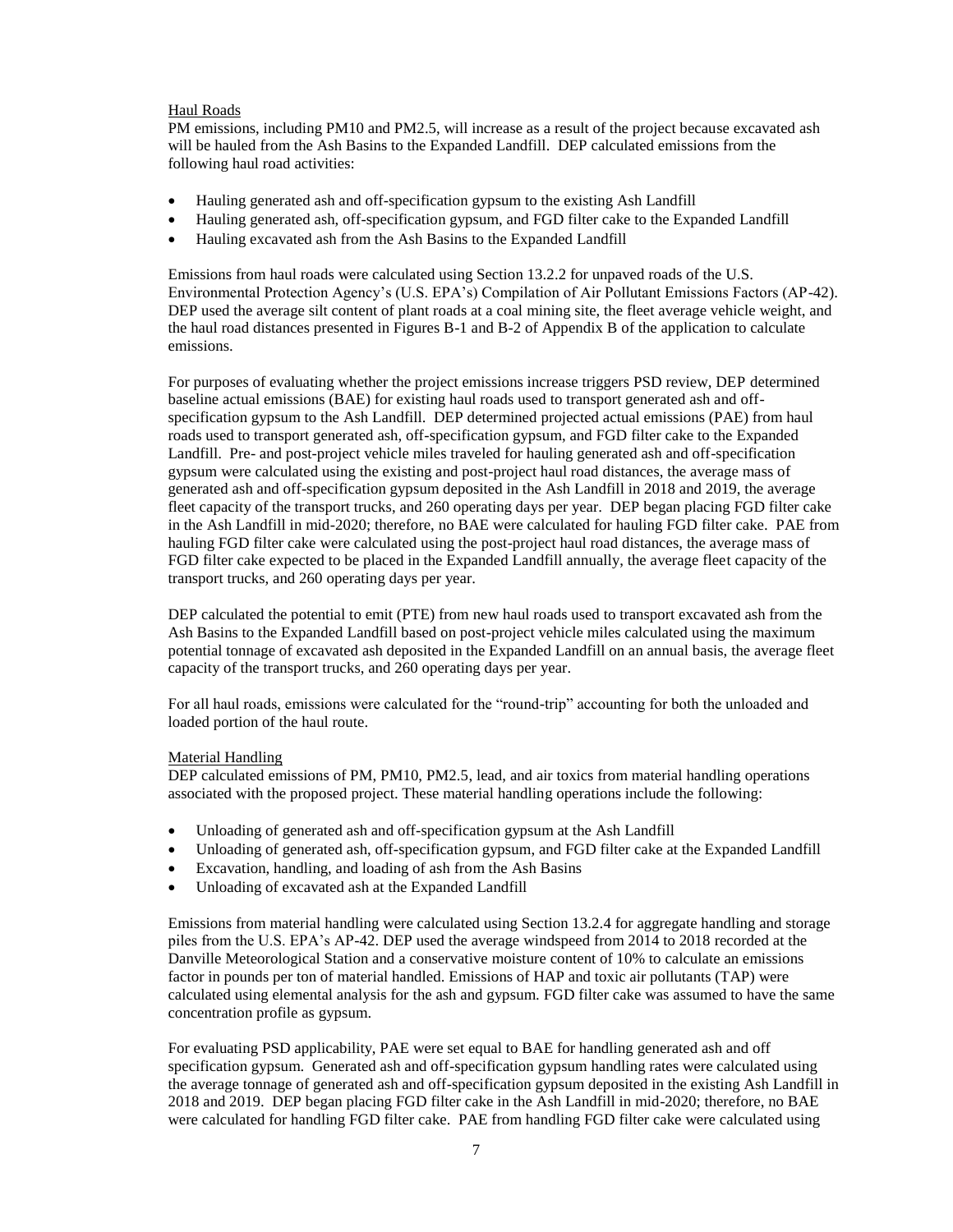#### Haul Roads

PM emissions, including PM10 and PM2.5, will increase as a result of the project because excavated ash will be hauled from the Ash Basins to the Expanded Landfill. DEP calculated emissions from the following haul road activities:

- Hauling generated ash and off-specification gypsum to the existing Ash Landfill
- Hauling generated ash, off-specification gypsum, and FGD filter cake to the Expanded Landfill
- Hauling excavated ash from the Ash Basins to the Expanded Landfill

Emissions from haul roads were calculated using Section 13.2.2 for unpaved roads of the U.S. Environmental Protection Agency's (U.S. EPA's) Compilation of Air Pollutant Emissions Factors (AP-42). DEP used the average silt content of plant roads at a coal mining site, the fleet average vehicle weight, and the haul road distances presented in Figures B-1 and B-2 of Appendix B of the application to calculate emissions.

For purposes of evaluating whether the project emissions increase triggers PSD review, DEP determined baseline actual emissions (BAE) for existing haul roads used to transport generated ash and offspecification gypsum to the Ash Landfill. DEP determined projected actual emissions (PAE) from haul roads used to transport generated ash, off-specification gypsum, and FGD filter cake to the Expanded Landfill. Pre- and post-project vehicle miles traveled for hauling generated ash and off-specification gypsum were calculated using the existing and post-project haul road distances, the average mass of generated ash and off-specification gypsum deposited in the Ash Landfill in 2018 and 2019, the average fleet capacity of the transport trucks, and 260 operating days per year. DEP began placing FGD filter cake in the Ash Landfill in mid-2020; therefore, no BAE were calculated for hauling FGD filter cake. PAE from hauling FGD filter cake were calculated using the post-project haul road distances, the average mass of FGD filter cake expected to be placed in the Expanded Landfill annually, the average fleet capacity of the transport trucks, and 260 operating days per year.

DEP calculated the potential to emit (PTE) from new haul roads used to transport excavated ash from the Ash Basins to the Expanded Landfill based on post-project vehicle miles calculated using the maximum potential tonnage of excavated ash deposited in the Expanded Landfill on an annual basis, the average fleet capacity of the transport trucks, and 260 operating days per year.

For all haul roads, emissions were calculated for the "round-trip" accounting for both the unloaded and loaded portion of the haul route.

#### Material Handling

DEP calculated emissions of PM, PM10, PM2.5, lead, and air toxics from material handling operations associated with the proposed project. These material handling operations include the following:

- Unloading of generated ash and off-specification gypsum at the Ash Landfill
- Unloading of generated ash, off-specification gypsum, and FGD filter cake at the Expanded Landfill
- Excavation, handling, and loading of ash from the Ash Basins
- Unloading of excavated ash at the Expanded Landfill

Emissions from material handling were calculated using Section 13.2.4 for aggregate handling and storage piles from the U.S. EPA's AP-42. DEP used the average windspeed from 2014 to 2018 recorded at the Danville Meteorological Station and a conservative moisture content of 10% to calculate an emissions factor in pounds per ton of material handled. Emissions of HAP and toxic air pollutants (TAP) were calculated using elemental analysis for the ash and gypsum. FGD filter cake was assumed to have the same concentration profile as gypsum.

For evaluating PSD applicability, PAE were set equal to BAE for handling generated ash and off specification gypsum. Generated ash and off-specification gypsum handling rates were calculated using the average tonnage of generated ash and off-specification gypsum deposited in the existing Ash Landfill in 2018 and 2019. DEP began placing FGD filter cake in the Ash Landfill in mid-2020; therefore, no BAE were calculated for handling FGD filter cake. PAE from handling FGD filter cake were calculated using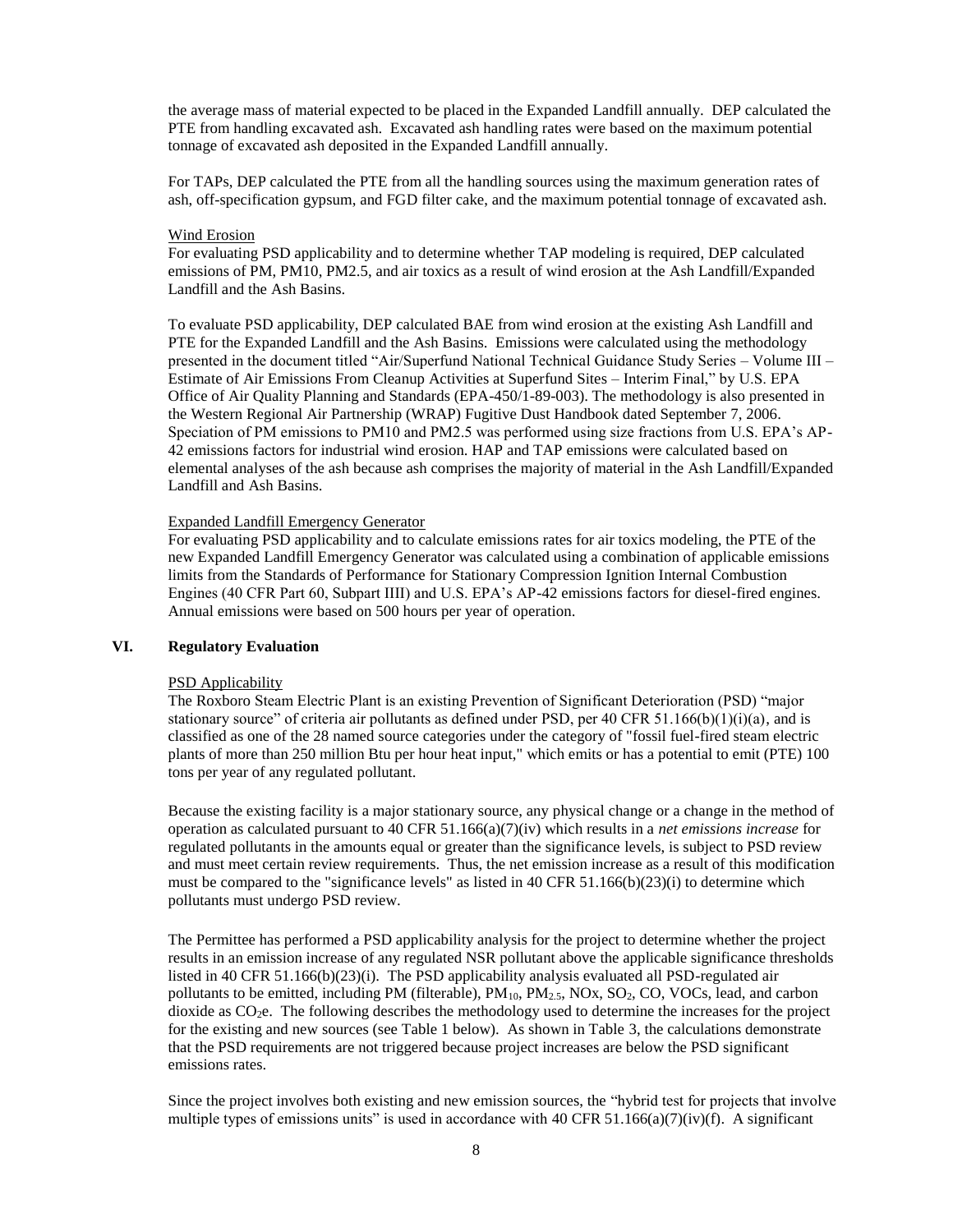the average mass of material expected to be placed in the Expanded Landfill annually. DEP calculated the PTE from handling excavated ash. Excavated ash handling rates were based on the maximum potential tonnage of excavated ash deposited in the Expanded Landfill annually.

For TAPs, DEP calculated the PTE from all the handling sources using the maximum generation rates of ash, off-specification gypsum, and FGD filter cake, and the maximum potential tonnage of excavated ash.

#### Wind Erosion

For evaluating PSD applicability and to determine whether TAP modeling is required, DEP calculated emissions of PM, PM10, PM2.5, and air toxics as a result of wind erosion at the Ash Landfill/Expanded Landfill and the Ash Basins.

To evaluate PSD applicability, DEP calculated BAE from wind erosion at the existing Ash Landfill and PTE for the Expanded Landfill and the Ash Basins. Emissions were calculated using the methodology presented in the document titled "Air/Superfund National Technical Guidance Study Series – Volume III – Estimate of Air Emissions From Cleanup Activities at Superfund Sites – Interim Final," by U.S. EPA Office of Air Quality Planning and Standards (EPA-450/1-89-003). The methodology is also presented in the Western Regional Air Partnership (WRAP) Fugitive Dust Handbook dated September 7, 2006. Speciation of PM emissions to PM10 and PM2.5 was performed using size fractions from U.S. EPA's AP-42 emissions factors for industrial wind erosion. HAP and TAP emissions were calculated based on elemental analyses of the ash because ash comprises the majority of material in the Ash Landfill/Expanded Landfill and Ash Basins.

### Expanded Landfill Emergency Generator

For evaluating PSD applicability and to calculate emissions rates for air toxics modeling, the PTE of the new Expanded Landfill Emergency Generator was calculated using a combination of applicable emissions limits from the Standards of Performance for Stationary Compression Ignition Internal Combustion Engines (40 CFR Part 60, Subpart IIII) and U.S. EPA's AP-42 emissions factors for diesel-fired engines. Annual emissions were based on 500 hours per year of operation.

## **VI. Regulatory Evaluation**

#### PSD Applicability

The Roxboro Steam Electric Plant is an existing Prevention of Significant Deterioration (PSD) "major stationary source" of criteria air pollutants as defined under PSD, per 40 CFR 51.166(b)(1)(i)(a), and is classified as one of the 28 named source categories under the category of "fossil fuel-fired steam electric plants of more than 250 million Btu per hour heat input," which emits or has a potential to emit (PTE) 100 tons per year of any regulated pollutant.

Because the existing facility is a major stationary source, any physical change or a change in the method of operation as calculated pursuant to 40 CFR 51.166(a)(7)(iv) which results in a *net emissions increase* for regulated pollutants in the amounts equal or greater than the significance levels, is subject to PSD review and must meet certain review requirements. Thus, the net emission increase as a result of this modification must be compared to the "significance levels" as listed in 40 CFR 51.166(b)(23)(i) to determine which pollutants must undergo PSD review.

The Permittee has performed a PSD applicability analysis for the project to determine whether the project results in an emission increase of any regulated NSR pollutant above the applicable significance thresholds listed in 40 CFR 51.166(b)(23)(i). The PSD applicability analysis evaluated all PSD-regulated air pollutants to be emitted, including PM (filterable),  $PM_{10}$ ,  $PM_{2.5}$ , NOx, SO<sub>2</sub>, CO, VOCs, lead, and carbon dioxide as  $CO<sub>2</sub>e$ . The following describes the methodology used to determine the increases for the project for the existing and new sources (see Table 1 below). As shown in Table 3, the calculations demonstrate that the PSD requirements are not triggered because project increases are below the PSD significant emissions rates.

Since the project involves both existing and new emission sources, the "hybrid test for projects that involve multiple types of emissions units" is used in accordance with 40 CFR 51.166(a)(7)(iv)(f). A significant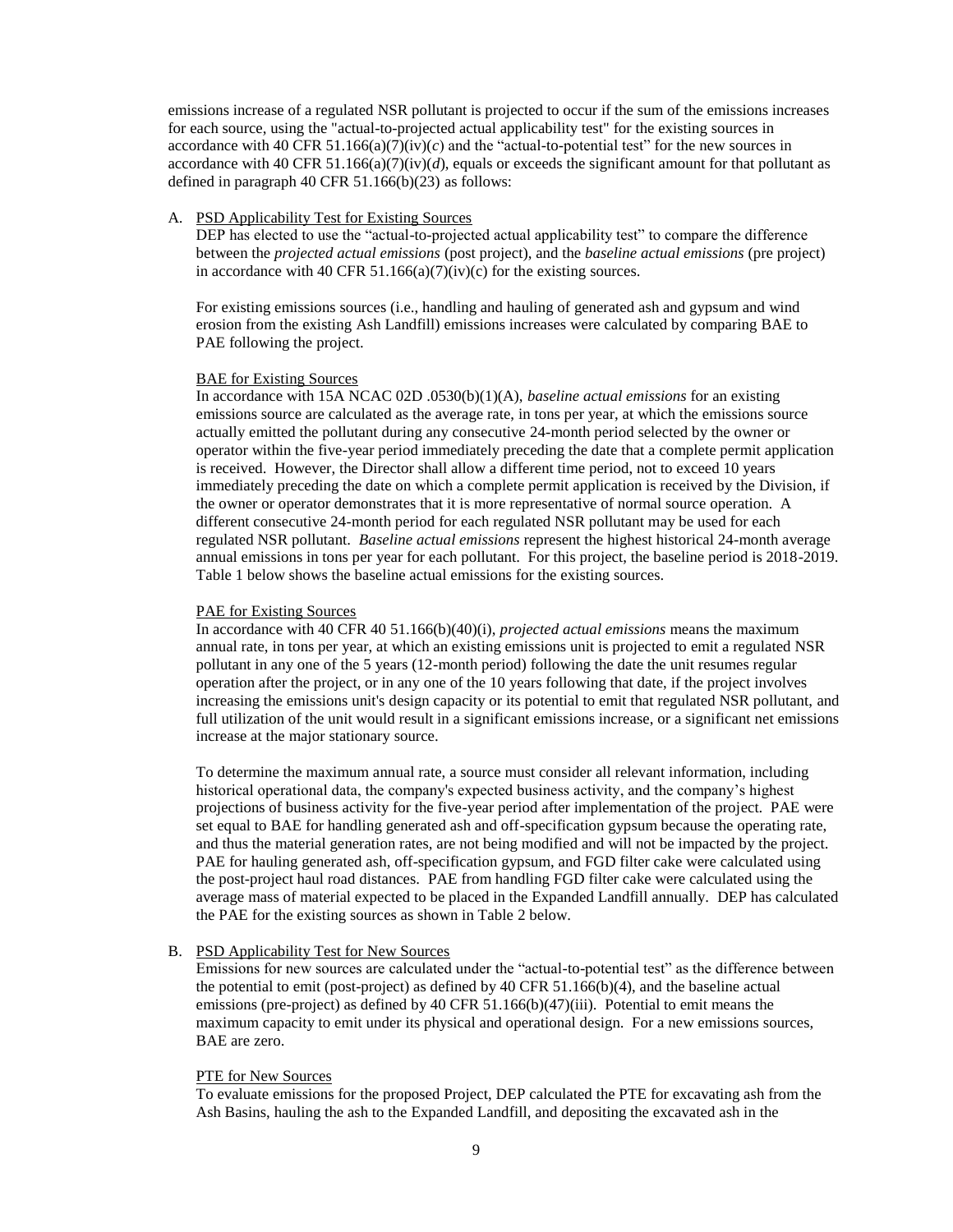emissions increase of a regulated NSR pollutant is projected to occur if the sum of the emissions increases for each source, using the "actual-to-projected actual applicability test" for the existing sources in accordance with 40 CFR 51.166(a)( $7$ )(iv)(c) and the "actual-to-potential test" for the new sources in accordance with 40 CFR 51.166(a)(7)(iv)(d), equals or exceeds the significant amount for that pollutant as defined in paragraph 40 CFR 51.166(b)(23) as follows:

#### A. PSD Applicability Test for Existing Sources

DEP has elected to use the "actual-to-projected actual applicability test" to compare the difference between the *projected actual emissions* (post project), and the *baseline actual emissions* (pre project) in accordance with 40 CFR 51.166(a)(7)(iv)(c) for the existing sources.

For existing emissions sources (i.e., handling and hauling of generated ash and gypsum and wind erosion from the existing Ash Landfill) emissions increases were calculated by comparing BAE to PAE following the project.

#### BAE for Existing Sources

In accordance with 15A NCAC 02D .0530(b)(1)(A), *baseline actual emissions* for an existing emissions source are calculated as the average rate, in tons per year, at which the emissions source actually emitted the pollutant during any consecutive 24-month period selected by the owner or operator within the five-year period immediately preceding the date that a complete permit application is received. However, the Director shall allow a different time period, not to exceed 10 years immediately preceding the date on which a complete permit application is received by the Division, if the owner or operator demonstrates that it is more representative of normal source operation. A different consecutive 24-month period for each regulated NSR pollutant may be used for each regulated NSR pollutant. *Baseline actual emissions* represent the highest historical 24-month average annual emissions in tons per year for each pollutant. For this project, the baseline period is 2018-2019. Table 1 below shows the baseline actual emissions for the existing sources.

#### PAE for Existing Sources

In accordance with 40 CFR 40 51.166(b)(40)(i), *projected actual emissions* means the maximum annual rate, in tons per year, at which an existing emissions unit is projected to emit a regulated NSR pollutant in any one of the 5 years (12-month period) following the date the unit resumes regular operation after the project, or in any one of the 10 years following that date, if the project involves increasing the emissions unit's design capacity or its potential to emit that regulated NSR pollutant, and full utilization of the unit would result in a significant emissions increase, or a significant net emissions increase at the major stationary source.

To determine the maximum annual rate, a source must consider all relevant information, including historical operational data, the company's expected business activity, and the company's highest projections of business activity for the five-year period after implementation of the project. PAE were set equal to BAE for handling generated ash and off-specification gypsum because the operating rate, and thus the material generation rates, are not being modified and will not be impacted by the project. PAE for hauling generated ash, off-specification gypsum, and FGD filter cake were calculated using the post-project haul road distances. PAE from handling FGD filter cake were calculated using the average mass of material expected to be placed in the Expanded Landfill annually. DEP has calculated the PAE for the existing sources as shown in Table 2 below.

### B. PSD Applicability Test for New Sources

Emissions for new sources are calculated under the "actual-to-potential test" as the difference between the potential to emit (post-project) as defined by 40 CFR 51.166(b)(4), and the baseline actual emissions (pre-project) as defined by 40 CFR 51.166(b)(47)(iii). Potential to emit means the maximum capacity to emit under its physical and operational design. For a new emissions sources, BAE are zero.

### PTE for New Sources

To evaluate emissions for the proposed Project, DEP calculated the PTE for excavating ash from the Ash Basins, hauling the ash to the Expanded Landfill, and depositing the excavated ash in the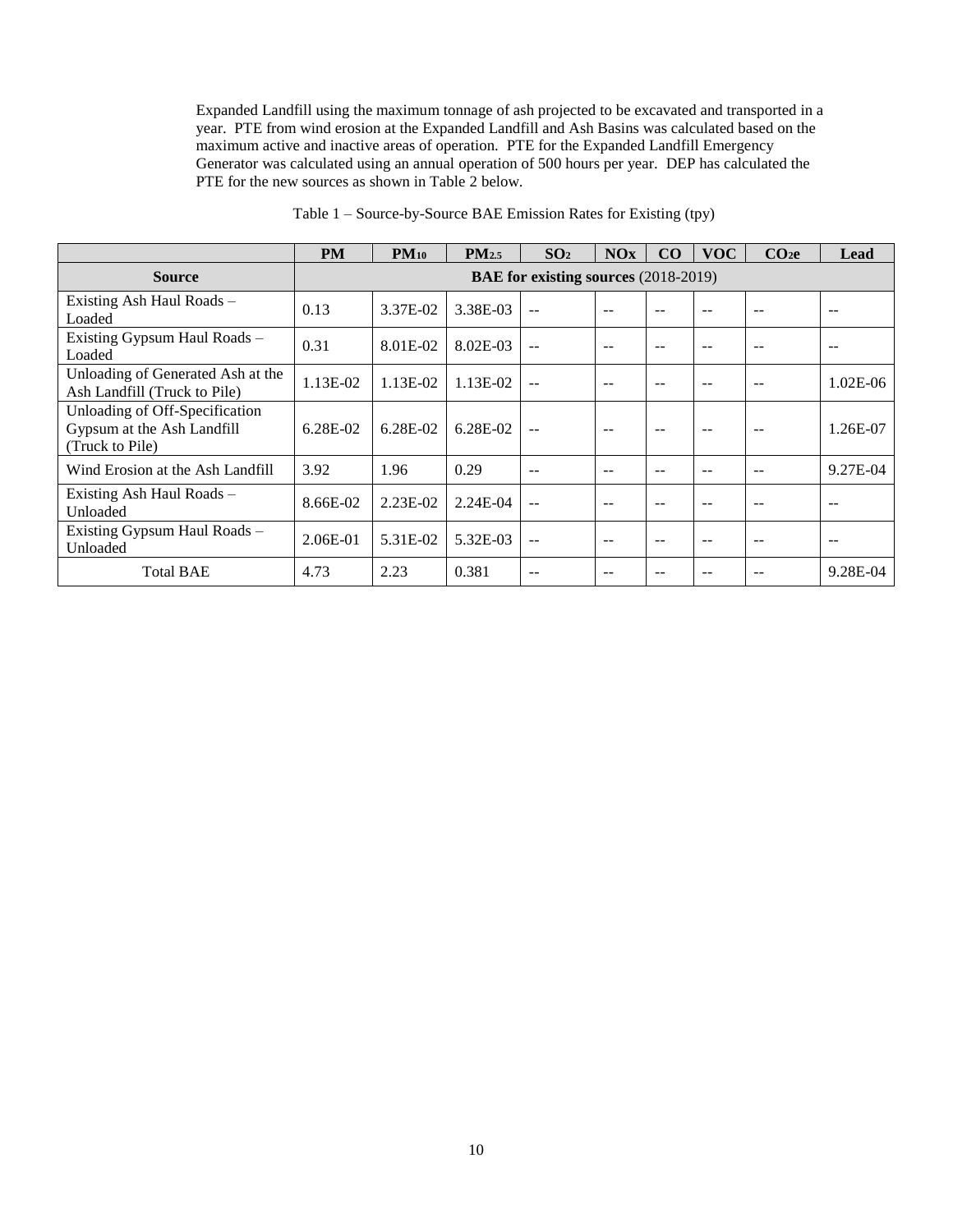Expanded Landfill using the maximum tonnage of ash projected to be excavated and transported in a year. PTE from wind erosion at the Expanded Landfill and Ash Basins was calculated based on the maximum active and inactive areas of operation. PTE for the Expanded Landfill Emergency Generator was calculated using an annual operation of 500 hours per year. DEP has calculated the PTE for the new sources as shown in Table 2 below.

|                                                                                 | <b>PM</b>  | $PM_{10}$    | $PM_{2.5}$ | SO <sub>2</sub>                             | NOx  | CO            | <b>VOC</b> | CO <sub>2</sub> e | Lead       |
|---------------------------------------------------------------------------------|------------|--------------|------------|---------------------------------------------|------|---------------|------------|-------------------|------------|
| <b>Source</b>                                                                   |            |              |            | <b>BAE for existing sources</b> (2018-2019) |      |               |            |                   |            |
| Existing Ash Haul Roads –<br>Loaded                                             | 0.13       | 3.37E-02     | 3.38E-03   |                                             |      |               |            | --                |            |
| Existing Gypsum Haul Roads -<br>Loaded                                          | 0.31       | 8.01E-02     | 8.02E-03   | $-$                                         |      |               |            |                   |            |
| Unloading of Generated Ash at the<br>Ash Landfill (Truck to Pile)               | 1.13E-02   | 1.13E-02     | 1.13E-02   | --                                          | $-$  |               |            | --                | $1.02E-06$ |
| Unloading of Off-Specification<br>Gypsum at the Ash Landfill<br>(Truck to Pile) | $6.28E-02$ | $6.28E - 02$ | $6.28E-02$ | $-$                                         | $-$  | $\sim$ $\sim$ |            | --                | 1.26E-07   |
| Wind Erosion at the Ash Landfill                                                | 3.92       | 1.96         | 0.29       | --                                          |      |               |            |                   | 9.27E-04   |
| Existing Ash Haul Roads –<br>Unloaded                                           | 8.66E-02   | 2.23E-02     | $2.24E-04$ | --                                          | $ -$ |               |            | --                |            |
| Existing Gypsum Haul Roads -<br>Unloaded                                        | 2.06E-01   | 5.31E-02     | 5.32E-03   | $-$                                         |      |               |            | --                |            |
| <b>Total BAE</b>                                                                | 4.73       | 2.23         | 0.381      | --                                          |      |               |            |                   | 9.28E-04   |

Table 1 – Source-by-Source BAE Emission Rates for Existing (tpy)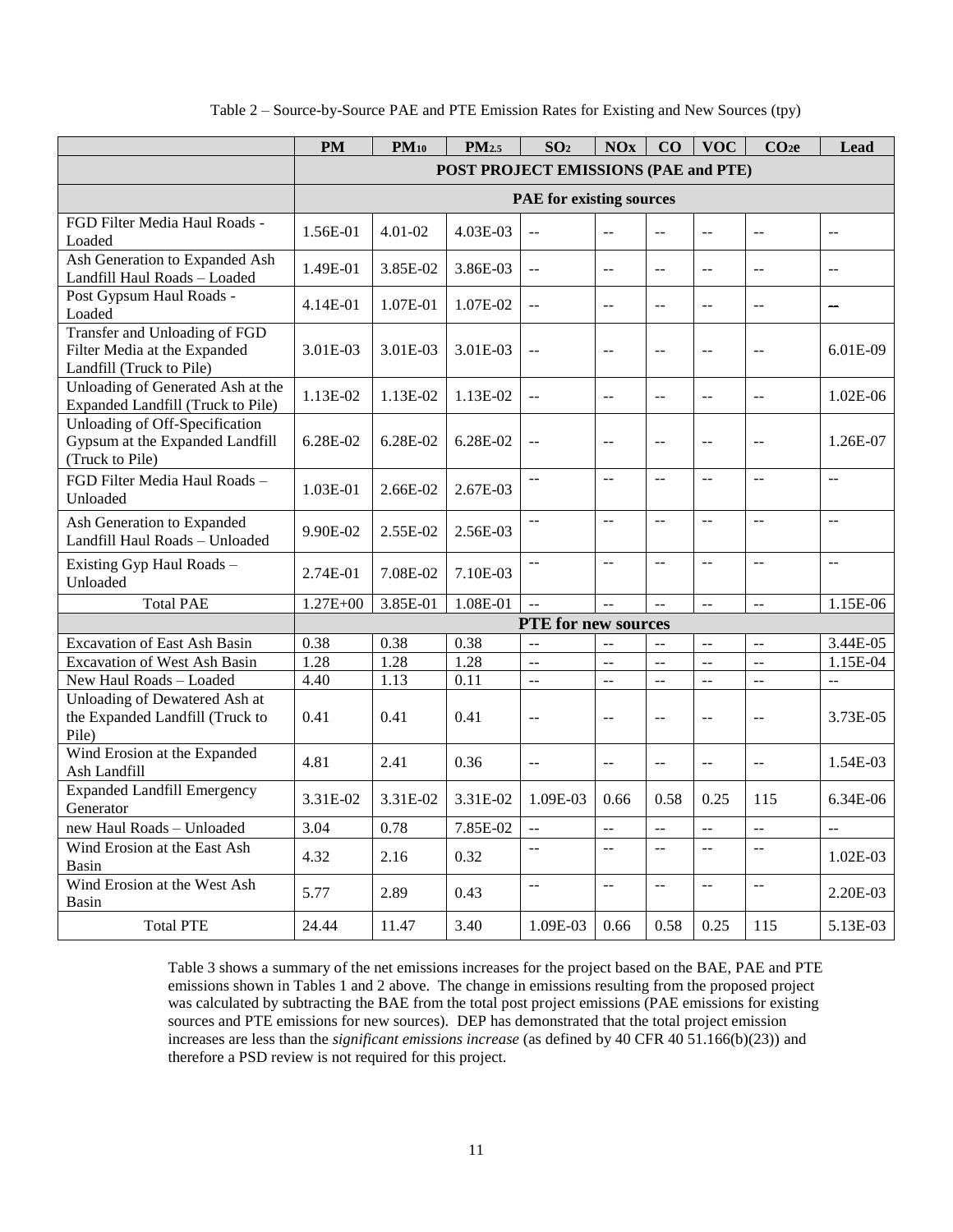|  | Table 2 – Source-by-Source PAE and PTE Emission Rates for Existing and New Sources (tpy) |  |  |
|--|------------------------------------------------------------------------------------------|--|--|
|  |                                                                                          |  |  |

|                                                                                           | <b>PM</b>         | $PM_{10}$ | PM <sub>2.5</sub>                    | SO <sub>2</sub>                 | <b>NOx</b>                                    | CO                | <b>VOC</b>                                    | CO <sub>2</sub> e         | Lead           |
|-------------------------------------------------------------------------------------------|-------------------|-----------|--------------------------------------|---------------------------------|-----------------------------------------------|-------------------|-----------------------------------------------|---------------------------|----------------|
|                                                                                           |                   |           | POST PROJECT EMISSIONS (PAE and PTE) |                                 |                                               |                   |                                               |                           |                |
|                                                                                           |                   |           |                                      | <b>PAE</b> for existing sources |                                               |                   |                                               |                           |                |
| FGD Filter Media Haul Roads -<br>Loaded                                                   | 1.56E-01          | 4.01-02   | 4.03E-03                             | $\overline{a}$                  | $-$                                           | --                | $\overline{a}$                                | $\overline{a}$            | $-$            |
| Ash Generation to Expanded Ash<br>Landfill Haul Roads - Loaded                            | 1.49E-01          | 3.85E-02  | 3.86E-03                             | $\overline{a}$                  | $-$                                           | $\sim$            | $\overline{a}$                                | $\sim$ $\sim$             | $\sim$         |
| Post Gypsum Haul Roads -<br>Loaded                                                        | 4.14E-01          | 1.07E-01  | 1.07E-02                             | $\overline{a}$                  | $\overline{a}$                                | $\overline{a}$    | $\overline{a}$                                | $\overline{a}$            |                |
| Transfer and Unloading of FGD<br>Filter Media at the Expanded<br>Landfill (Truck to Pile) | 3.01E-03          | 3.01E-03  | 3.01E-03                             | $\overline{a}$                  | --                                            | $\sim$ $-$        | $-$                                           | $\overline{a}$            | 6.01E-09       |
| Unloading of Generated Ash at the<br>Expanded Landfill (Truck to Pile)                    | 1.13E-02          | 1.13E-02  | 1.13E-02                             | $\mathbb{L}^{\mathbb{L}}$       | $-$                                           | $\sim$ $\sim$     | $\sim$ $\sim$                                 | $\sim$ $\sim$             | $1.02E-06$     |
| Unloading of Off-Specification<br>Gypsum at the Expanded Landfill<br>(Truck to Pile)      | 6.28E-02          | 6.28E-02  | 6.28E-02                             | $\overline{a}$                  | $-$                                           | $\mathbb{L}$ .    | $\overline{a}$                                | $\sim$ $\sim$             | 1.26E-07       |
| FGD Filter Media Haul Roads -<br>Unloaded                                                 | 1.03E-01          | 2.66E-02  | 2.67E-03                             | $\overline{a}$                  | $\sim$                                        | $\sim$ $\sim$     | $\sim$ $\sim$                                 | $\sim$ $\sim$             | $\sim$ $\sim$  |
| Ash Generation to Expanded<br>Landfill Haul Roads - Unloaded                              | 9.90E-02          | 2.55E-02  | 2.56E-03                             | $-$                             | $\sim$                                        | $\sim$ $\sim$     | $\overline{a}$                                | $\sim$ $\sim$             | $-$            |
| Existing Gyp Haul Roads -<br>Unloaded                                                     | 2.74E-01          | 7.08E-02  | 7.10E-03                             | $\overline{a}$                  | $\overline{a}$                                | $\omega_{\rm{m}}$ | $\overline{a}$                                | $\overline{a}$            | $\overline{a}$ |
| <b>Total PAE</b>                                                                          | $1.27E + 00$      | 3.85E-01  | 1.08E-01                             | $\overline{a}$                  | $\overline{a}$                                | $\sim$            | $\overline{a}$                                | $\sim$                    | 1.15E-06       |
|                                                                                           |                   |           |                                      | PTE for new sources             |                                               |                   |                                               |                           |                |
| <b>Excavation of East Ash Basin</b>                                                       | 0.38              | 0.38      | 0.38                                 | $\overline{a}$                  | $\overline{a}$                                | $\overline{a}$    | $\overline{a}$                                | $\overline{a}$            | 3.44E-05       |
| <b>Excavation of West Ash Basin</b>                                                       | 1.28              | 1.28      | 1.28                                 | $\overline{a}$                  | $\overline{a}$                                | $\overline{a}$    | $\overline{a}$                                | $\overline{a}$            | 1.15E-04       |
| New Haul Roads - Loaded                                                                   | $4.\overline{40}$ | 1.13      | $\overline{0.11}$                    | $\overline{a}$                  | $\overline{a}$                                | $\sim$            | $\overline{a}$                                | $\overline{a}$            | $\sim$ $\sim$  |
| Unloading of Dewatered Ash at<br>the Expanded Landfill (Truck to<br>Pile)                 | 0.41              | 0.41      | 0.41                                 | $\overline{a}$                  | $\overline{a}$                                | $\overline{a}$    | $\overline{a}$                                | $\overline{a}$            | 3.73E-05       |
| Wind Erosion at the Expanded<br>Ash Landfill                                              | 4.81              | 2.41      | 0.36                                 | $\overline{a}$                  | $-$                                           | $\mathbf{L}$      | $\overline{a}$                                | $\sim$                    | 1.54E-03       |
| <b>Expanded Landfill Emergency</b><br>Generator                                           | 3.31E-02          | 3.31E-02  | 3.31E-02                             | 1.09E-03                        | 0.66                                          | 0.58              | 0.25                                          | 115                       | $6.34E-06$     |
| new Haul Roads - Unloaded                                                                 | 3.04              | 0.78      | 7.85E-02                             | u.                              | $\overline{a}$                                | $\sim$ $\sim$     | $\mathbb{L}^{\mathbb{L}}$                     | $\overline{a}$            | $\overline{a}$ |
| Wind Erosion at the East Ash<br>Basin                                                     | 4.32              | 2.16      | 0.32                                 | $-$                             | $\mathord{\hspace{1pt}\text{--}\hspace{1pt}}$ | $\sim$ $\sim$     | $\mathord{\hspace{1pt}\text{--}\hspace{1pt}}$ | $\sim$ $\sim$             | 1.02E-03       |
| Wind Erosion at the West Ash<br>Basin                                                     | 5.77              | 2.89      | 0.43                                 | $\overline{a}$                  | $\overline{a}$                                | $\overline{a}$    | $\sim$                                        | $\mathbb{L}^{\mathbb{L}}$ | 2.20E-03       |
| <b>Total PTE</b>                                                                          | 24.44             | 11.47     | 3.40                                 | 1.09E-03                        | 0.66                                          | 0.58              | 0.25                                          | 115                       | 5.13E-03       |

Table 3 shows a summary of the net emissions increases for the project based on the BAE, PAE and PTE emissions shown in Tables 1 and 2 above. The change in emissions resulting from the proposed project was calculated by subtracting the BAE from the total post project emissions (PAE emissions for existing sources and PTE emissions for new sources). DEP has demonstrated that the total project emission increases are less than the *significant emissions increase* (as defined by 40 CFR 40 51.166(b)(23)) and therefore a PSD review is not required for this project.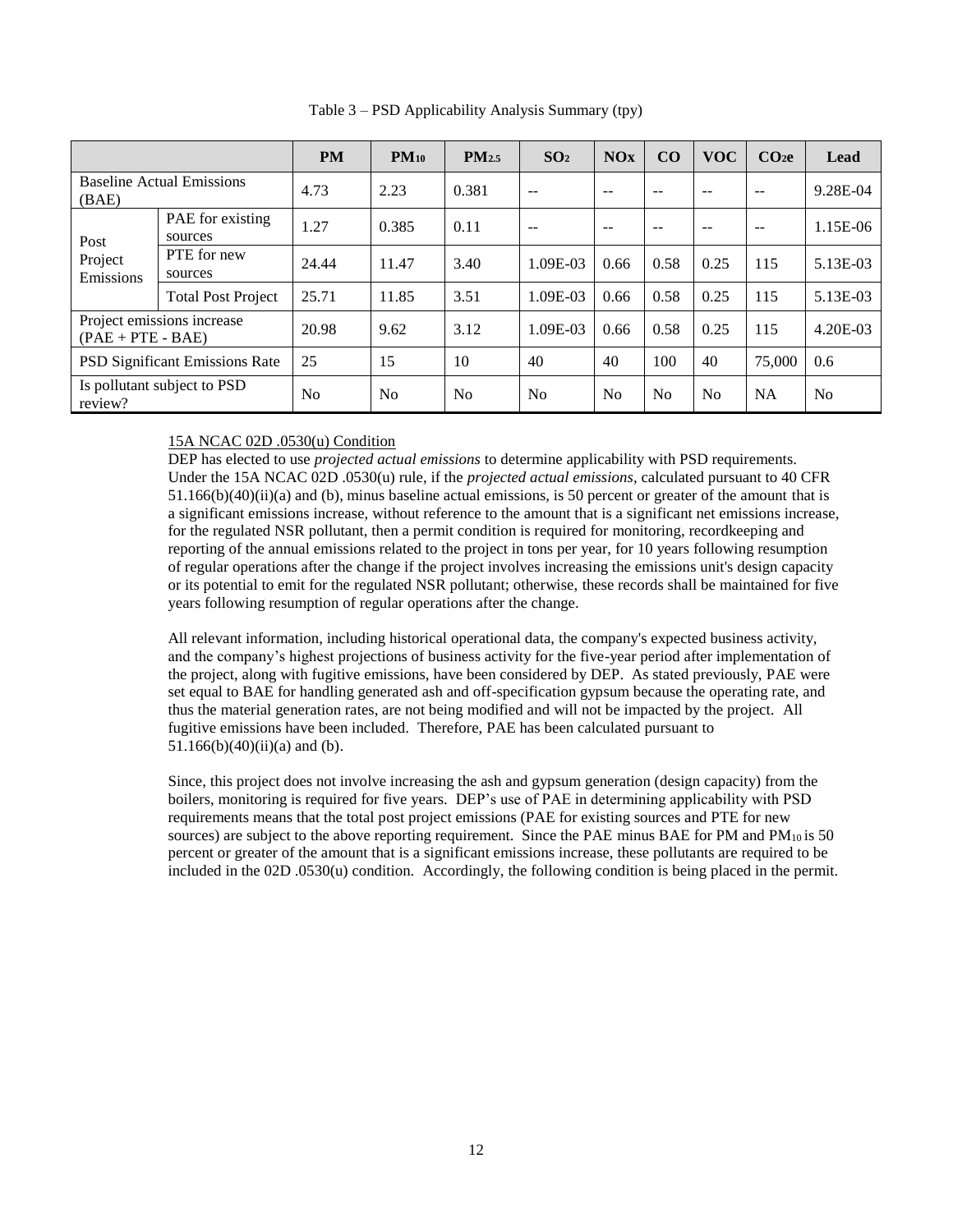|                                                   |                             | <b>PM</b>      | $PM_{10}$ | PM <sub>2.5</sub> | SO <sub>2</sub> | NOx            | CO             | <b>VOC</b> | CO <sub>2</sub> e | Lead           |
|---------------------------------------------------|-----------------------------|----------------|-----------|-------------------|-----------------|----------------|----------------|------------|-------------------|----------------|
| <b>Baseline Actual Emissions</b><br>(BAE)         |                             | 4.73           | 2.23      | 0.381             | $-$             | --             | --             | $-$        | --                | 9.28E-04       |
| Post                                              | PAE for existing<br>sources | 1.27           | 0.385     | 0.11              | $-$             | --             | $-$            | $-$        | --                | 1.15E-06       |
| Project<br>Emissions                              | PTE for new<br>sources      | 24.44          | 11.47     | 3.40              | 1.09E-03        | 0.66           | 0.58           | 0.25       | 115               | 5.13E-03       |
|                                                   | <b>Total Post Project</b>   | 25.71          | 11.85     | 3.51              | 1.09E-03        | 0.66           | 0.58           | 0.25       | 115               | 5.13E-03       |
| Project emissions increase<br>$(PAE + PTE - BAE)$ |                             | 20.98          | 9.62      | 3.12              | 1.09E-03        | 0.66           | 0.58           | 0.25       | 115               | 4.20E-03       |
| <b>PSD Significant Emissions Rate</b>             |                             | 25             | 15        | 10                | 40              | 40             | 100            | 40         | 75,000            | 0.6            |
| Is pollutant subject to PSD<br>review?            |                             | N <sub>0</sub> | No        | N <sub>0</sub>    | N <sub>0</sub>  | N <sub>0</sub> | N <sub>0</sub> | No         | <b>NA</b>         | N <sub>0</sub> |

Table 3 – PSD Applicability Analysis Summary (tpy)

## 15A NCAC 02D .0530(u) Condition

DEP has elected to use *projected actual emissions* to determine applicability with PSD requirements. Under the 15A NCAC 02D .0530(u) rule, if the *projected actual emissions*, calculated pursuant to 40 CFR  $51.166(b)(40)(ii)(a)$  and (b), minus baseline actual emissions, is 50 percent or greater of the amount that is a significant emissions increase, without reference to the amount that is a significant net emissions increase, for the regulated NSR pollutant, then a permit condition is required for monitoring, recordkeeping and reporting of the annual emissions related to the project in tons per year, for 10 years following resumption of regular operations after the change if the project involves increasing the emissions unit's design capacity or its potential to emit for the regulated NSR pollutant; otherwise, these records shall be maintained for five years following resumption of regular operations after the change.

All relevant information, including historical operational data, the company's expected business activity, and the company's highest projections of business activity for the five-year period after implementation of the project, along with fugitive emissions, have been considered by DEP. As stated previously, PAE were set equal to BAE for handling generated ash and off-specification gypsum because the operating rate, and thus the material generation rates, are not being modified and will not be impacted by the project. All fugitive emissions have been included. Therefore, PAE has been calculated pursuant to 51.166(b)(40)(ii)(a) and (b).

Since, this project does not involve increasing the ash and gypsum generation (design capacity) from the boilers, monitoring is required for five years. DEP's use of PAE in determining applicability with PSD requirements means that the total post project emissions (PAE for existing sources and PTE for new sources) are subject to the above reporting requirement. Since the PAE minus BAE for PM and  $PM_{10}$  is 50 percent or greater of the amount that is a significant emissions increase, these pollutants are required to be included in the 02D .0530(u) condition. Accordingly, the following condition is being placed in the permit.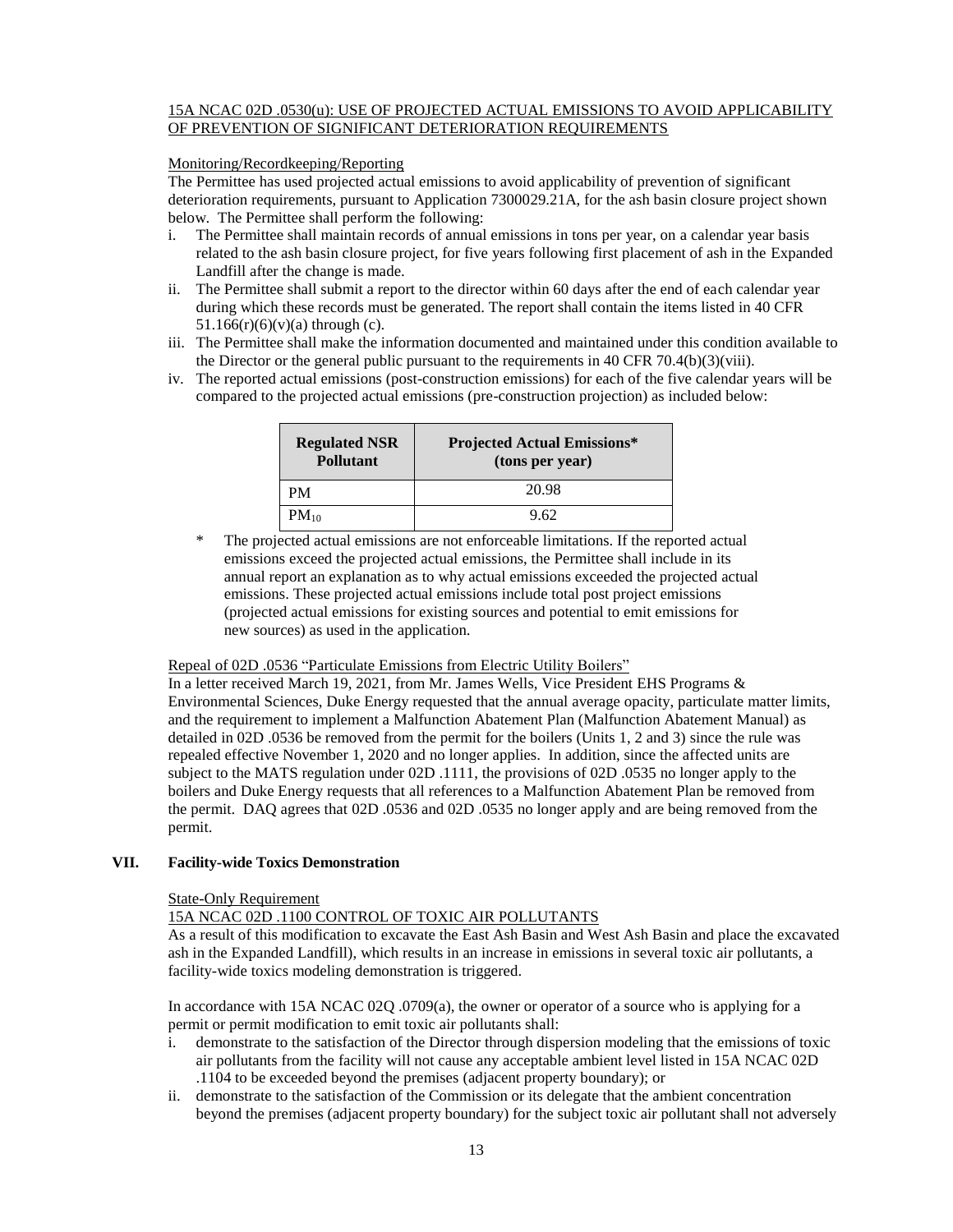### 15A NCAC 02D .0530(u): USE OF PROJECTED ACTUAL EMISSIONS TO AVOID APPLICABILITY OF PREVENTION OF SIGNIFICANT DETERIORATION REQUIREMENTS

### Monitoring/Recordkeeping/Reporting

The Permittee has used projected actual emissions to avoid applicability of prevention of significant deterioration requirements, pursuant to Application 7300029.21A, for the ash basin closure project shown below. The Permittee shall perform the following:

- i. The Permittee shall maintain records of annual emissions in tons per year, on a calendar year basis related to the ash basin closure project, for five years following first placement of ash in the Expanded Landfill after the change is made.
- ii. The Permittee shall submit a report to the director within 60 days after the end of each calendar year during which these records must be generated. The report shall contain the items listed in 40 CFR  $51.166(r)(6)(v)(a)$  through (c).
- iii. The Permittee shall make the information documented and maintained under this condition available to the Director or the general public pursuant to the requirements in 40 CFR 70.4(b)(3)(viii).
- iv. The reported actual emissions (post-construction emissions) for each of the five calendar years will be compared to the projected actual emissions (pre-construction projection) as included below:

| <b>Regulated NSR</b><br><b>Pollutant</b> | <b>Projected Actual Emissions*</b><br>(tons per year) |
|------------------------------------------|-------------------------------------------------------|
| PМ                                       | 20.98                                                 |
| $PM_{10}$                                | 9.62                                                  |

\* The projected actual emissions are not enforceable limitations. If the reported actual emissions exceed the projected actual emissions, the Permittee shall include in its annual report an explanation as to why actual emissions exceeded the projected actual emissions. These projected actual emissions include total post project emissions (projected actual emissions for existing sources and potential to emit emissions for new sources) as used in the application.

### Repeal of 02D .0536 "Particulate Emissions from Electric Utility Boilers"

In a letter received March 19, 2021, from Mr. James Wells, Vice President EHS Programs & Environmental Sciences, Duke Energy requested that the annual average opacity, particulate matter limits, and the requirement to implement a Malfunction Abatement Plan (Malfunction Abatement Manual) as detailed in 02D .0536 be removed from the permit for the boilers (Units 1, 2 and 3) since the rule was repealed effective November 1, 2020 and no longer applies. In addition, since the affected units are subject to the MATS regulation under 02D .1111, the provisions of 02D .0535 no longer apply to the boilers and Duke Energy requests that all references to a Malfunction Abatement Plan be removed from the permit. DAQ agrees that 02D .0536 and 02D .0535 no longer apply and are being removed from the permit.

### **VII. Facility-wide Toxics Demonstration**

### State-Only Requirement

## 15A NCAC 02D .1100 CONTROL OF TOXIC AIR POLLUTANTS

As a result of this modification to excavate the East Ash Basin and West Ash Basin and place the excavated ash in the Expanded Landfill), which results in an increase in emissions in several toxic air pollutants, a facility-wide toxics modeling demonstration is triggered.

In accordance with 15A NCAC 02Q .0709(a), the owner or operator of a source who is applying for a permit or permit modification to emit toxic air pollutants shall:

- i. demonstrate to the satisfaction of the Director through dispersion modeling that the emissions of toxic air pollutants from the facility will not cause any acceptable ambient level listed in 15A NCAC 02D .1104 to be exceeded beyond the premises (adjacent property boundary); or
- ii. demonstrate to the satisfaction of the Commission or its delegate that the ambient concentration beyond the premises (adjacent property boundary) for the subject toxic air pollutant shall not adversely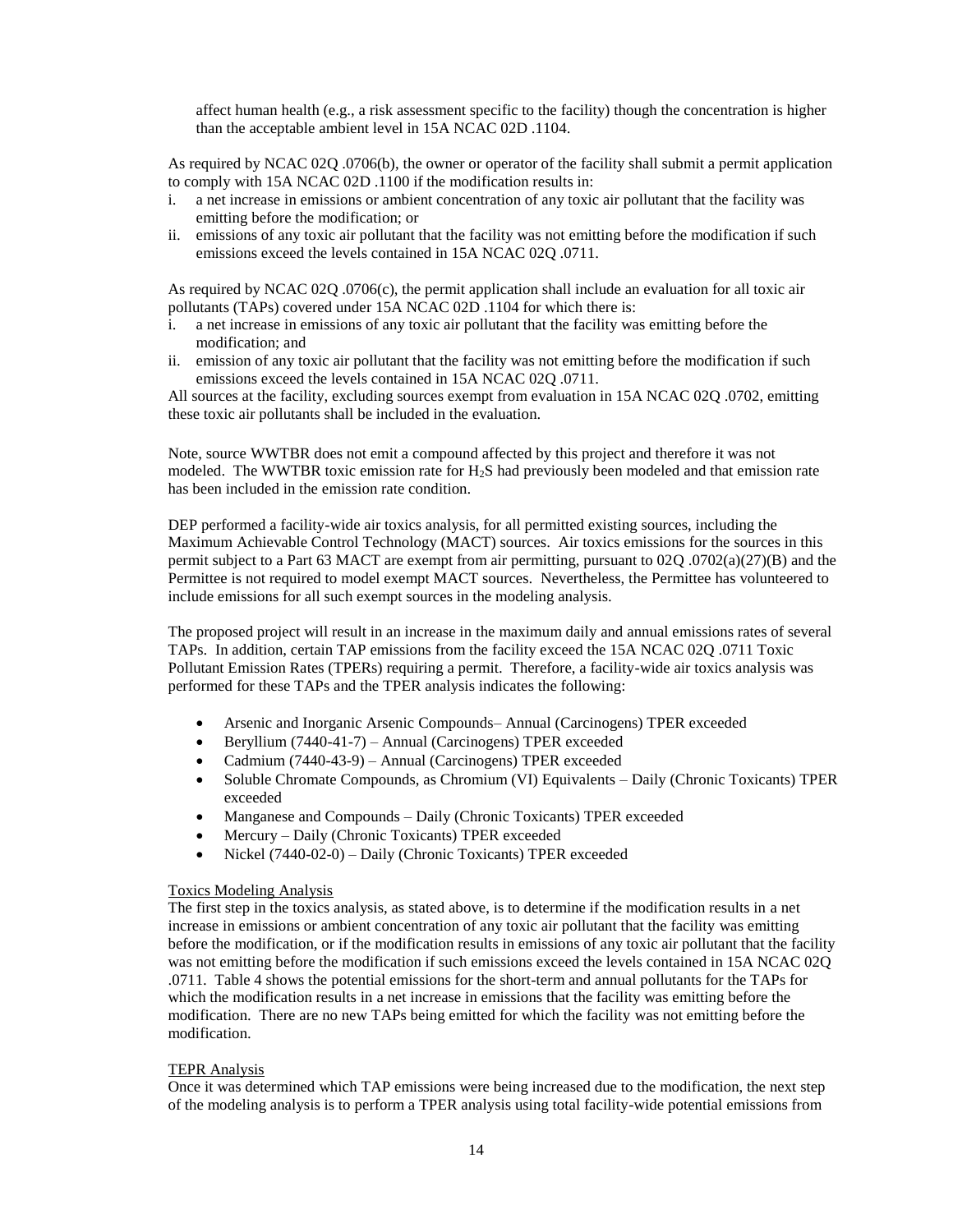affect human health (e.g., a risk assessment specific to the facility) though the concentration is higher than the acceptable ambient level in 15A NCAC 02D .1104.

As required by NCAC 02Q .0706(b), the owner or operator of the facility shall submit a permit application to comply with 15A NCAC 02D .1100 if the modification results in:

- i. a net increase in emissions or ambient concentration of any toxic air pollutant that the facility was emitting before the modification; or
- ii. emissions of any toxic air pollutant that the facility was not emitting before the modification if such emissions exceed the levels contained in 15A NCAC 02Q .0711.

As required by NCAC 02Q .0706(c), the permit application shall include an evaluation for all toxic air pollutants (TAPs) covered under 15A NCAC 02D .1104 for which there is:

- i. a net increase in emissions of any toxic air pollutant that the facility was emitting before the modification; and
- ii. emission of any toxic air pollutant that the facility was not emitting before the modification if such emissions exceed the levels contained in 15A NCAC 02Q .0711.

All sources at the facility, excluding sources exempt from evaluation in 15A NCAC 02Q .0702, emitting these toxic air pollutants shall be included in the evaluation.

Note, source WWTBR does not emit a compound affected by this project and therefore it was not modeled. The WWTBR toxic emission rate for H2S had previously been modeled and that emission rate has been included in the emission rate condition.

DEP performed a facility-wide air toxics analysis, for all permitted existing sources, including the Maximum Achievable Control Technology (MACT) sources. Air toxics emissions for the sources in this permit subject to a Part 63 MACT are exempt from air permitting, pursuant to 02Q .0702(a)(27)(B) and the Permittee is not required to model exempt MACT sources. Nevertheless, the Permittee has volunteered to include emissions for all such exempt sources in the modeling analysis.

The proposed project will result in an increase in the maximum daily and annual emissions rates of several TAPs. In addition, certain TAP emissions from the facility exceed the 15A NCAC 02Q .0711 Toxic Pollutant Emission Rates (TPERs) requiring a permit. Therefore, a facility-wide air toxics analysis was performed for these TAPs and the TPER analysis indicates the following:

- Arsenic and Inorganic Arsenic Compounds– Annual (Carcinogens) TPER exceeded
- Beryllium (7440-41-7) Annual (Carcinogens) TPER exceeded
- Cadmium (7440-43-9) Annual (Carcinogens) TPER exceeded
- Soluble Chromate Compounds, as Chromium (VI) Equivalents Daily (Chronic Toxicants) TPER exceeded
- Manganese and Compounds Daily (Chronic Toxicants) TPER exceeded
- Mercury Daily (Chronic Toxicants) TPER exceeded
- Nickel (7440-02-0) Daily (Chronic Toxicants) TPER exceeded

### Toxics Modeling Analysis

The first step in the toxics analysis, as stated above, is to determine if the modification results in a net increase in emissions or ambient concentration of any toxic air pollutant that the facility was emitting before the modification, or if the modification results in emissions of any toxic air pollutant that the facility was not emitting before the modification if such emissions exceed the levels contained in 15A NCAC 02Q .0711. Table 4 shows the potential emissions for the short-term and annual pollutants for the TAPs for which the modification results in a net increase in emissions that the facility was emitting before the modification. There are no new TAPs being emitted for which the facility was not emitting before the modification.

### TEPR Analysis

Once it was determined which TAP emissions were being increased due to the modification, the next step of the modeling analysis is to perform a TPER analysis using total facility-wide potential emissions from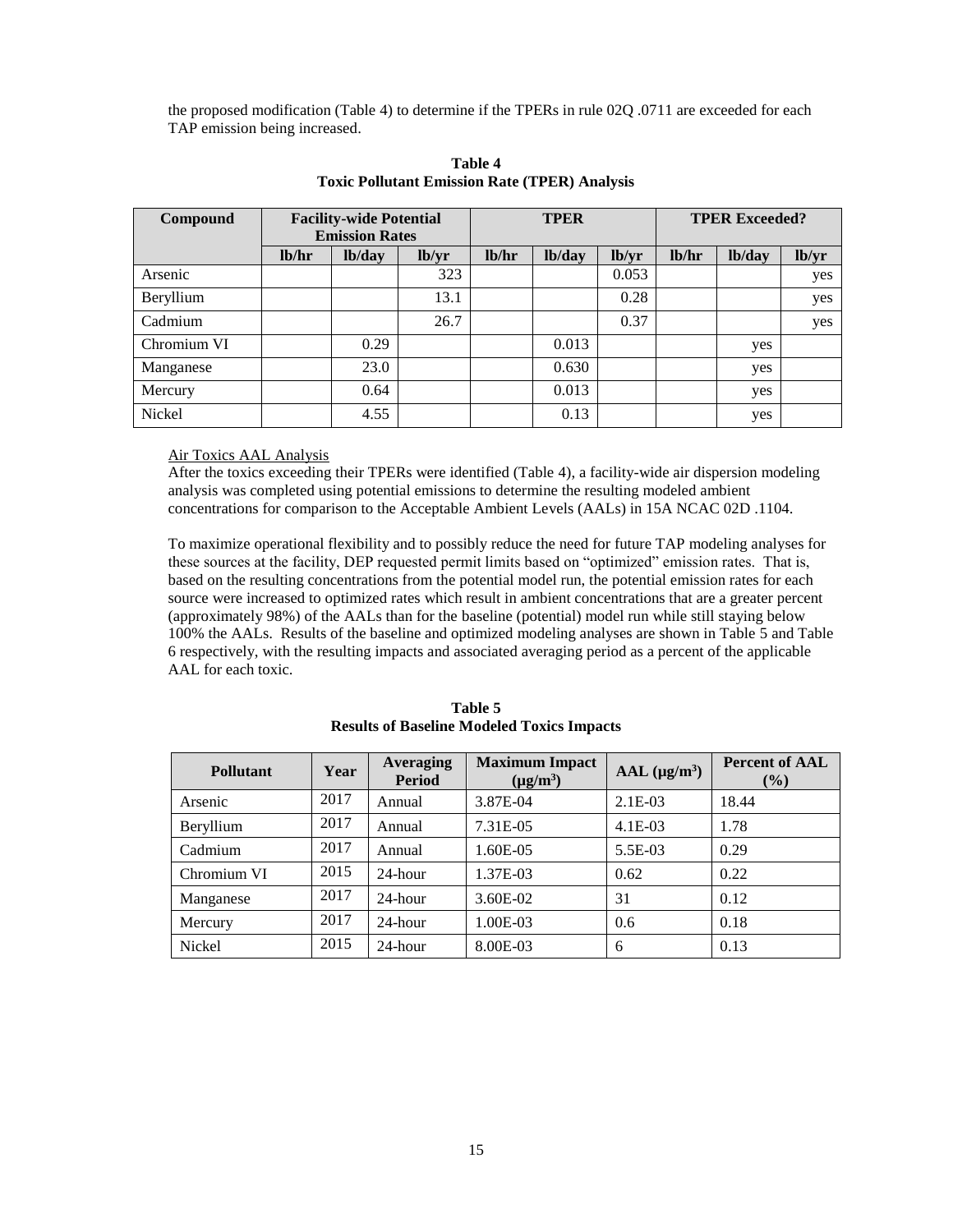the proposed modification (Table 4) to determine if the TPERs in rule 02Q .0711 are exceeded for each TAP emission being increased.

| Compound    |       | <b>Facility-wide Potential</b> |       | <b>TPER</b> |        |       | <b>TPER Exceeded?</b> |        |       |
|-------------|-------|--------------------------------|-------|-------------|--------|-------|-----------------------|--------|-------|
|             |       | <b>Emission Rates</b>          |       |             |        |       |                       |        |       |
|             | lb/hr | lb/day                         | lb/yr | lb/hr       | lb/day | lb/yr | lb/hr                 | lb/day | lb/yr |
| Arsenic     |       |                                | 323   |             |        | 0.053 |                       |        | yes   |
| Beryllium   |       |                                | 13.1  |             |        | 0.28  |                       |        | yes   |
| Cadmium     |       |                                | 26.7  |             |        | 0.37  |                       |        | yes   |
| Chromium VI |       | 0.29                           |       |             | 0.013  |       |                       | yes    |       |
| Manganese   |       | 23.0                           |       |             | 0.630  |       |                       | yes    |       |
| Mercury     |       | 0.64                           |       |             | 0.013  |       |                       | yes    |       |
| Nickel      |       | 4.55                           |       |             | 0.13   |       |                       | yes    |       |

**Table 4 Toxic Pollutant Emission Rate (TPER) Analysis**

### Air Toxics AAL Analysis

After the toxics exceeding their TPERs were identified (Table 4), a facility-wide air dispersion modeling analysis was completed using potential emissions to determine the resulting modeled ambient concentrations for comparison to the Acceptable Ambient Levels (AALs) in 15A NCAC 02D .1104.

To maximize operational flexibility and to possibly reduce the need for future TAP modeling analyses for these sources at the facility, DEP requested permit limits based on "optimized" emission rates. That is, based on the resulting concentrations from the potential model run, the potential emission rates for each source were increased to optimized rates which result in ambient concentrations that are a greater percent (approximately 98%) of the AALs than for the baseline (potential) model run while still staying below 100% the AALs. Results of the baseline and optimized modeling analyses are shown in Table 5 and Table 6 respectively, with the resulting impacts and associated averaging period as a percent of the applicable AAL for each toxic.

| <b>Pollutant</b> | Year | Averaging<br><b>Period</b> | <b>Maximum Impact</b><br>$(\mu g/m^3)$ | AAL (µg/m <sup>3</sup> ) | <b>Percent of AAL</b><br>$\left( \frac{0}{0} \right)$ |
|------------------|------|----------------------------|----------------------------------------|--------------------------|-------------------------------------------------------|
| Arsenic          | 2017 | Annual                     | 3.87E-04                               | $2.1E-03$                | 18.44                                                 |
| Beryllium        | 2017 | Annual                     | 7.31E-05                               | $4.1E-03$                | 1.78                                                  |
| Cadmium          | 2017 | Annual                     | $1.60E - 0.5$                          | 5.5E-03                  | 0.29                                                  |
| Chromium VI      | 2015 | 24-hour                    | 1.37E-03                               | 0.62                     | 0.22                                                  |
| Manganese        | 2017 | 24-hour                    | 3.60E-02                               | 31                       | 0.12                                                  |
| Mercury          | 2017 | 24-hour                    | 1.00E-03                               | 0.6                      | 0.18                                                  |
| Nickel           | 2015 | 24-hour                    | 8.00E-03                               | 6                        | 0.13                                                  |

**Table 5 Results of Baseline Modeled Toxics Impacts**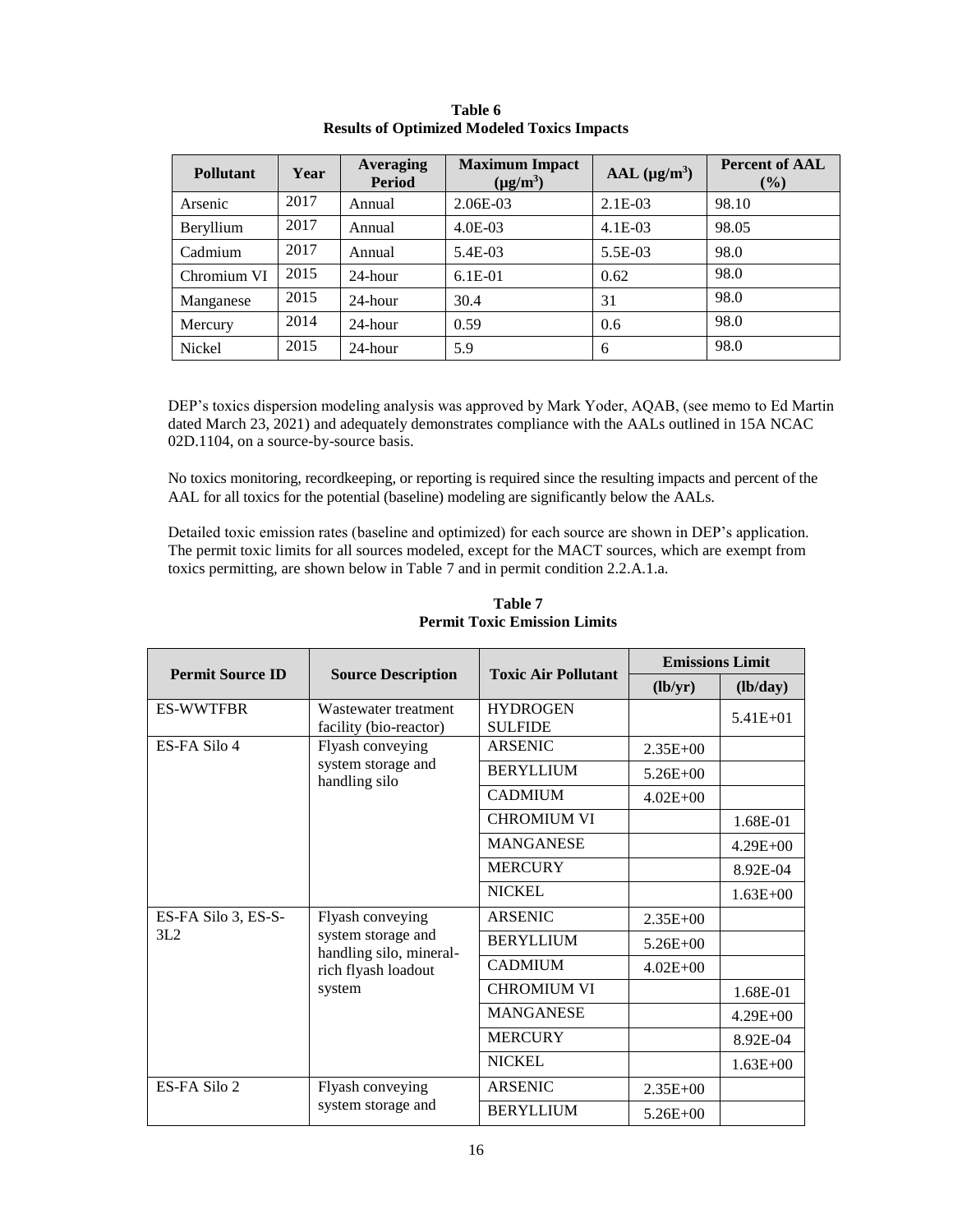| <b>Pollutant</b> | Year | <b>Averaging</b><br><b>Period</b> | <b>Maximum Impact</b><br>$(\mu g/m^3)$ | AAL (µg/m <sup>3</sup> ) | <b>Percent of AAL</b><br>$($ %) |
|------------------|------|-----------------------------------|----------------------------------------|--------------------------|---------------------------------|
| Arsenic          | 2017 | Annual                            | $2.06E-03$                             | $2.1E-03$                | 98.10                           |
| Beryllium        | 2017 | Annual                            | $4.0E-03$                              | $4.1E-03$                | 98.05                           |
| Cadmium          | 2017 | Annual                            | 5.4E-03                                | 5.5E-03                  | 98.0                            |
| Chromium VI      | 2015 | 24-hour                           | $6.1E-01$                              | 0.62                     | 98.0                            |
| Manganese        | 2015 | 24-hour                           | 30.4                                   | 31                       | 98.0                            |
| Mercury          | 2014 | $24$ -hour                        | 0.59                                   | 0.6                      | 98.0                            |
| Nickel           | 2015 | 24-hour                           | 5.9                                    | 6                        | 98.0                            |

**Table 6 Results of Optimized Modeled Toxics Impacts**

DEP's toxics dispersion modeling analysis was approved by Mark Yoder, AQAB, (see memo to Ed Martin dated March 23, 2021) and adequately demonstrates compliance with the AALs outlined in 15A NCAC 02D.1104, on a source-by-source basis.

No toxics monitoring, recordkeeping, or reporting is required since the resulting impacts and percent of the AAL for all toxics for the potential (baseline) modeling are significantly below the AALs.

Detailed toxic emission rates (baseline and optimized) for each source are shown in DEP's application. The permit toxic limits for all sources modeled, except for the MACT sources, which are exempt from toxics permitting, are shown below in Table 7 and in permit condition 2.2.A.1.a.

|                         |                                                |                                   | <b>Emissions Limit</b> |              |  |
|-------------------------|------------------------------------------------|-----------------------------------|------------------------|--------------|--|
| <b>Permit Source ID</b> | <b>Source Description</b>                      | <b>Toxic Air Pollutant</b>        | (lb/yr)                | (lb/day)     |  |
| <b>ES-WWTFBR</b>        | Wastewater treatment<br>facility (bio-reactor) | <b>HYDROGEN</b><br><b>SULFIDE</b> |                        | $5.41E + 01$ |  |
| ES-FA Silo 4            | Flyash conveying                               | <b>ARSENIC</b>                    | $2.35E + 00$           |              |  |
|                         | system storage and<br>handling silo            | <b>BERYLLIUM</b>                  | $5.26E + 00$           |              |  |
|                         |                                                | <b>CADMIUM</b>                    | $4.02E + 00$           |              |  |
|                         |                                                | <b>CHROMIUM VI</b>                |                        | 1.68E-01     |  |
|                         |                                                | <b>MANGANESE</b>                  |                        | $4.29E + 00$ |  |
|                         |                                                | <b>MERCURY</b>                    |                        | 8.92E-04     |  |
|                         |                                                | <b>NICKEL</b>                     |                        | $1.63E + 00$ |  |
| ES-FA Silo 3, ES-S-     | Flyash conveying                               | <b>ARSENIC</b>                    | $2.35E + 00$           |              |  |
| 3L2                     | system storage and<br>handling silo, mineral-  | <b>BERYLLIUM</b>                  | $5.26E + 00$           |              |  |
|                         | rich flyash loadout                            | <b>CADMIUM</b>                    | $4.02E + 00$           |              |  |
|                         | system                                         | <b>CHROMIUM VI</b>                |                        | 1.68E-01     |  |
|                         |                                                | <b>MANGANESE</b>                  |                        | $4.29E + 00$ |  |
|                         |                                                | <b>MERCURY</b>                    |                        | 8.92E-04     |  |
|                         |                                                | <b>NICKEL</b>                     |                        | $1.63E + 00$ |  |
| ES-FA Silo 2            | Flyash conveying                               | <b>ARSENIC</b>                    | $2.35E + 00$           |              |  |
|                         | system storage and                             | <b>BERYLLIUM</b>                  | $5.26E + 00$           |              |  |

# **Table 7 Permit Toxic Emission Limits**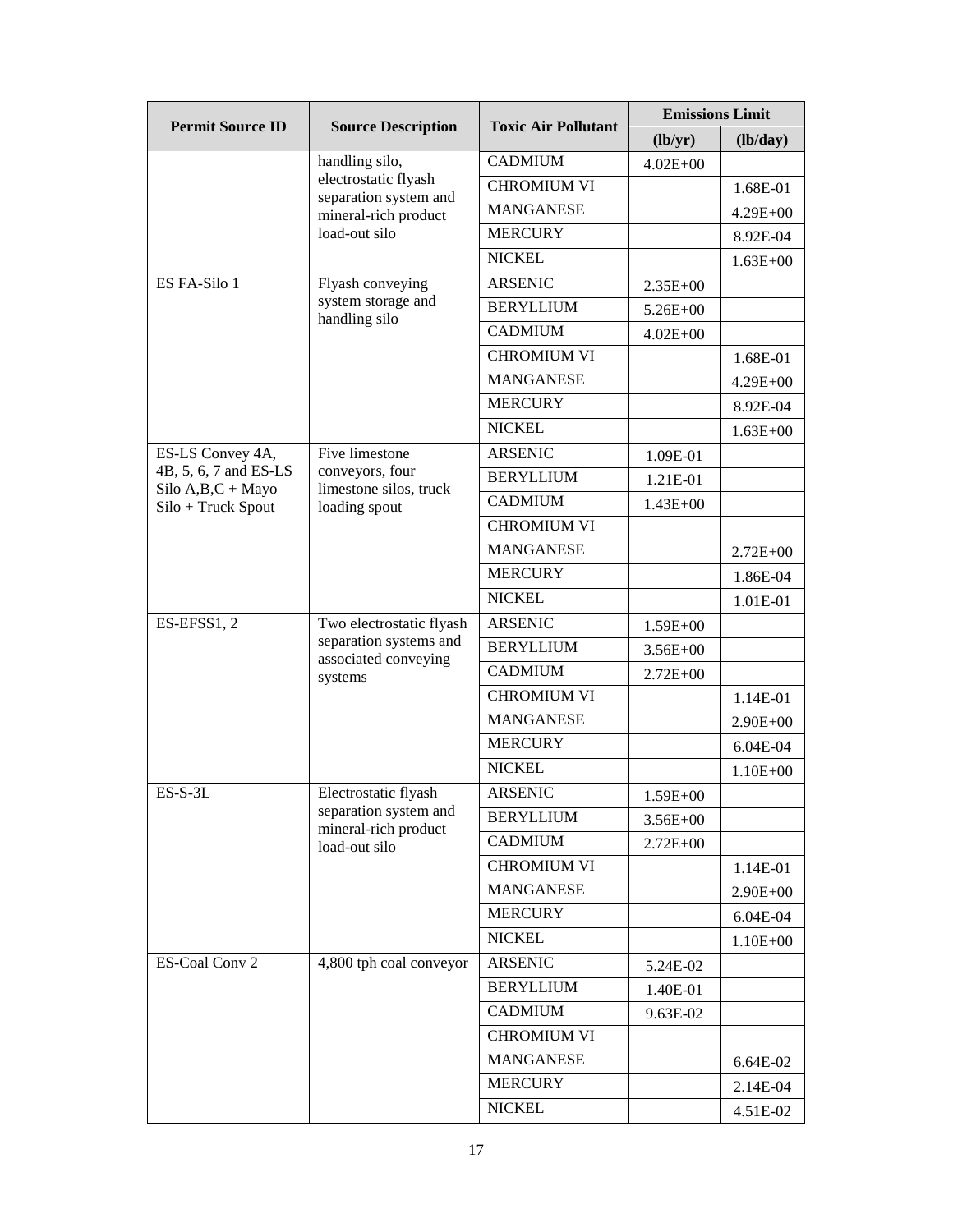| <b>Permit Source ID</b>                  | <b>Source Description</b>                                                              | <b>Toxic Air Pollutant</b> | <b>Emissions Limit</b> |              |
|------------------------------------------|----------------------------------------------------------------------------------------|----------------------------|------------------------|--------------|
|                                          |                                                                                        |                            | (lb/yr)                | (lb/day)     |
|                                          | handling silo,                                                                         | <b>CADMIUM</b>             | $4.02E + 00$           |              |
|                                          | electrostatic flyash<br>separation system and                                          | <b>CHROMIUM VI</b>         |                        | 1.68E-01     |
|                                          | mineral-rich product                                                                   | <b>MANGANESE</b>           |                        | $4.29E + 00$ |
|                                          | load-out silo                                                                          | <b>MERCURY</b>             |                        | 8.92E-04     |
|                                          |                                                                                        | <b>NICKEL</b>              |                        | $1.63E + 00$ |
| ES FA-Silo 1                             | Flyash conveying                                                                       | <b>ARSENIC</b>             | $2.35E+00$             |              |
|                                          | system storage and<br>handling silo                                                    | <b>BERYLLIUM</b>           | $5.26E + 00$           |              |
|                                          |                                                                                        | <b>CADMIUM</b>             | $4.02E + 00$           |              |
|                                          |                                                                                        | <b>CHROMIUM VI</b>         |                        | 1.68E-01     |
|                                          |                                                                                        | <b>MANGANESE</b>           |                        | $4.29E + 00$ |
|                                          |                                                                                        | <b>MERCURY</b>             |                        | 8.92E-04     |
|                                          |                                                                                        | <b>NICKEL</b>              |                        | $1.63E + 00$ |
| ES-LS Convey 4A,                         | Five limestone                                                                         | <b>ARSENIC</b>             | 1.09E-01               |              |
| 4B, 5, 6, 7 and ES-LS                    | conveyors, four                                                                        | <b>BERYLLIUM</b>           | 1.21E-01               |              |
| Silo $A,B,C+$ Mayo<br>Silo + Truck Spout | limestone silos, truck<br>loading spout                                                | <b>CADMIUM</b>             | $1.43E + 00$           |              |
|                                          |                                                                                        | <b>CHROMIUM VI</b>         |                        |              |
|                                          |                                                                                        | <b>MANGANESE</b>           |                        | $2.72E + 00$ |
|                                          |                                                                                        | <b>MERCURY</b>             |                        | 1.86E-04     |
|                                          |                                                                                        | <b>NICKEL</b>              |                        | 1.01E-01     |
| ES-EFSS1, 2                              | Two electrostatic flyash                                                               | <b>ARSENIC</b>             | $1.59E + 00$           |              |
|                                          | separation systems and<br>associated conveying<br>systems                              | <b>BERYLLIUM</b>           | $3.56E + 00$           |              |
|                                          |                                                                                        | <b>CADMIUM</b>             | $2.72E + 00$           |              |
|                                          |                                                                                        | <b>CHROMIUM VI</b>         |                        | 1.14E-01     |
|                                          |                                                                                        | <b>MANGANESE</b>           |                        | $2.90E + 00$ |
|                                          |                                                                                        | <b>MERCURY</b>             |                        | 6.04E-04     |
|                                          |                                                                                        | <b>NICKEL</b>              |                        | $1.10E + 00$ |
| $ES-S-3L$                                | Electrostatic flyash<br>separation system and<br>mineral-rich product<br>load-out silo | <b>ARSENIC</b>             | 1.59E+00               |              |
|                                          |                                                                                        | <b>BERYLLIUM</b>           | $3.56E + 00$           |              |
|                                          |                                                                                        | <b>CADMIUM</b>             | $2.72E + 00$           |              |
|                                          |                                                                                        | <b>CHROMIUM VI</b>         |                        | 1.14E-01     |
|                                          |                                                                                        | <b>MANGANESE</b>           |                        | 2.90E+00     |
|                                          |                                                                                        | <b>MERCURY</b>             |                        | 6.04E-04     |
|                                          |                                                                                        | <b>NICKEL</b>              |                        | $1.10E + 00$ |
| ES-Coal Conv 2                           | 4,800 tph coal conveyor                                                                | <b>ARSENIC</b>             | 5.24E-02               |              |
|                                          |                                                                                        | <b>BERYLLIUM</b>           | 1.40E-01               |              |
|                                          |                                                                                        | <b>CADMIUM</b>             | 9.63E-02               |              |
|                                          |                                                                                        | <b>CHROMIUM VI</b>         |                        |              |
|                                          |                                                                                        | <b>MANGANESE</b>           |                        | 6.64E-02     |
|                                          |                                                                                        | <b>MERCURY</b>             |                        | 2.14E-04     |
|                                          |                                                                                        | <b>NICKEL</b>              |                        | 4.51E-02     |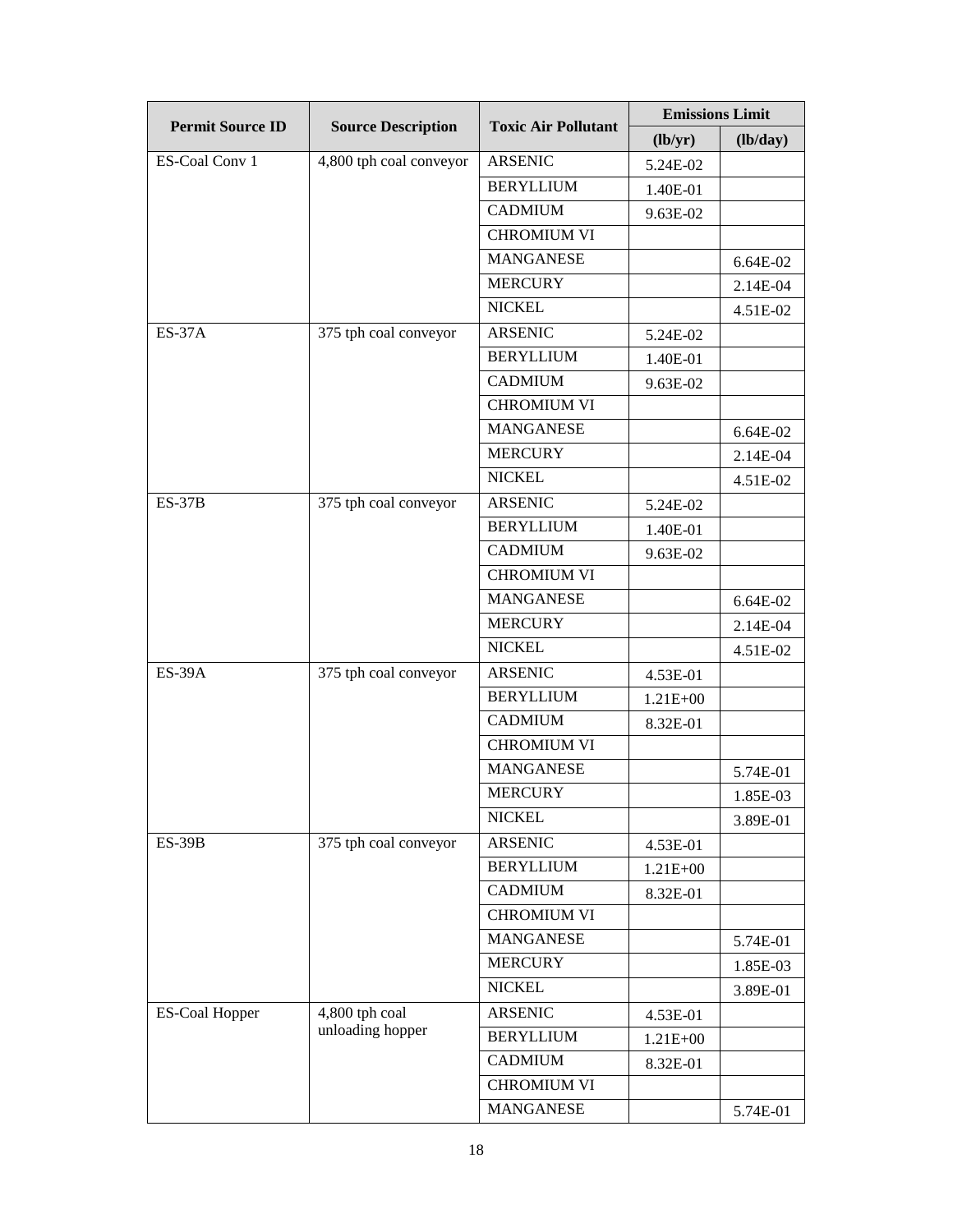| <b>Permit Source ID</b> | <b>Source Description</b>          | <b>Toxic Air Pollutant</b> | <b>Emissions Limit</b> |          |
|-------------------------|------------------------------------|----------------------------|------------------------|----------|
|                         |                                    |                            | (lb/yr)                | (lb/day) |
| ES-Coal Conv 1          | 4,800 tph coal conveyor            | <b>ARSENIC</b>             | 5.24E-02               |          |
|                         |                                    | <b>BERYLLIUM</b>           | 1.40E-01               |          |
|                         |                                    | <b>CADMIUM</b>             | 9.63E-02               |          |
|                         |                                    | <b>CHROMIUM VI</b>         |                        |          |
|                         |                                    | <b>MANGANESE</b>           |                        | 6.64E-02 |
|                         |                                    | <b>MERCURY</b>             |                        | 2.14E-04 |
|                         |                                    | <b>NICKEL</b>              |                        | 4.51E-02 |
| <b>ES-37A</b>           | 375 tph coal conveyor              | <b>ARSENIC</b>             | 5.24E-02               |          |
|                         |                                    | <b>BERYLLIUM</b>           | 1.40E-01               |          |
|                         |                                    | <b>CADMIUM</b>             | 9.63E-02               |          |
|                         |                                    | <b>CHROMIUM VI</b>         |                        |          |
|                         |                                    | <b>MANGANESE</b>           |                        | 6.64E-02 |
|                         |                                    | <b>MERCURY</b>             |                        | 2.14E-04 |
|                         |                                    | <b>NICKEL</b>              |                        | 4.51E-02 |
| $ES-37B$                | 375 tph coal conveyor              | <b>ARSENIC</b>             | 5.24E-02               |          |
|                         |                                    | <b>BERYLLIUM</b>           | 1.40E-01               |          |
|                         |                                    | <b>CADMIUM</b>             | 9.63E-02               |          |
|                         |                                    | <b>CHROMIUM VI</b>         |                        |          |
|                         |                                    | <b>MANGANESE</b>           |                        | 6.64E-02 |
|                         |                                    | <b>MERCURY</b>             |                        | 2.14E-04 |
|                         |                                    | <b>NICKEL</b>              |                        | 4.51E-02 |
| <b>ES-39A</b>           | 375 tph coal conveyor              | <b>ARSENIC</b>             | 4.53E-01               |          |
|                         |                                    | <b>BERYLLIUM</b>           | $1.21E + 00$           |          |
|                         |                                    | <b>CADMIUM</b>             | 8.32E-01               |          |
|                         |                                    | <b>CHROMIUM VI</b>         |                        |          |
|                         |                                    | <b>MANGANESE</b>           |                        | 5.74E-01 |
|                         |                                    | <b>MERCURY</b>             |                        | 1.85E-03 |
|                         |                                    | <b>NICKEL</b>              |                        | 3.89E-01 |
| <b>ES-39B</b>           | 375 tph coal conveyor              | <b>ARSENIC</b>             | 4.53E-01               |          |
|                         |                                    | <b>BERYLLIUM</b>           | 1.21E+00               |          |
|                         |                                    | <b>CADMIUM</b>             | 8.32E-01               |          |
|                         |                                    | <b>CHROMIUM VI</b>         |                        |          |
|                         |                                    | <b>MANGANESE</b>           |                        | 5.74E-01 |
|                         |                                    | <b>MERCURY</b>             |                        | 1.85E-03 |
|                         |                                    | <b>NICKEL</b>              |                        | 3.89E-01 |
| <b>ES-Coal Hopper</b>   | 4,800 tph coal<br>unloading hopper | <b>ARSENIC</b>             | 4.53E-01               |          |
|                         |                                    | <b>BERYLLIUM</b>           | $1.21E + 00$           |          |
|                         |                                    | <b>CADMIUM</b>             | 8.32E-01               |          |
|                         |                                    | <b>CHROMIUM VI</b>         |                        |          |
|                         |                                    | <b>MANGANESE</b>           |                        | 5.74E-01 |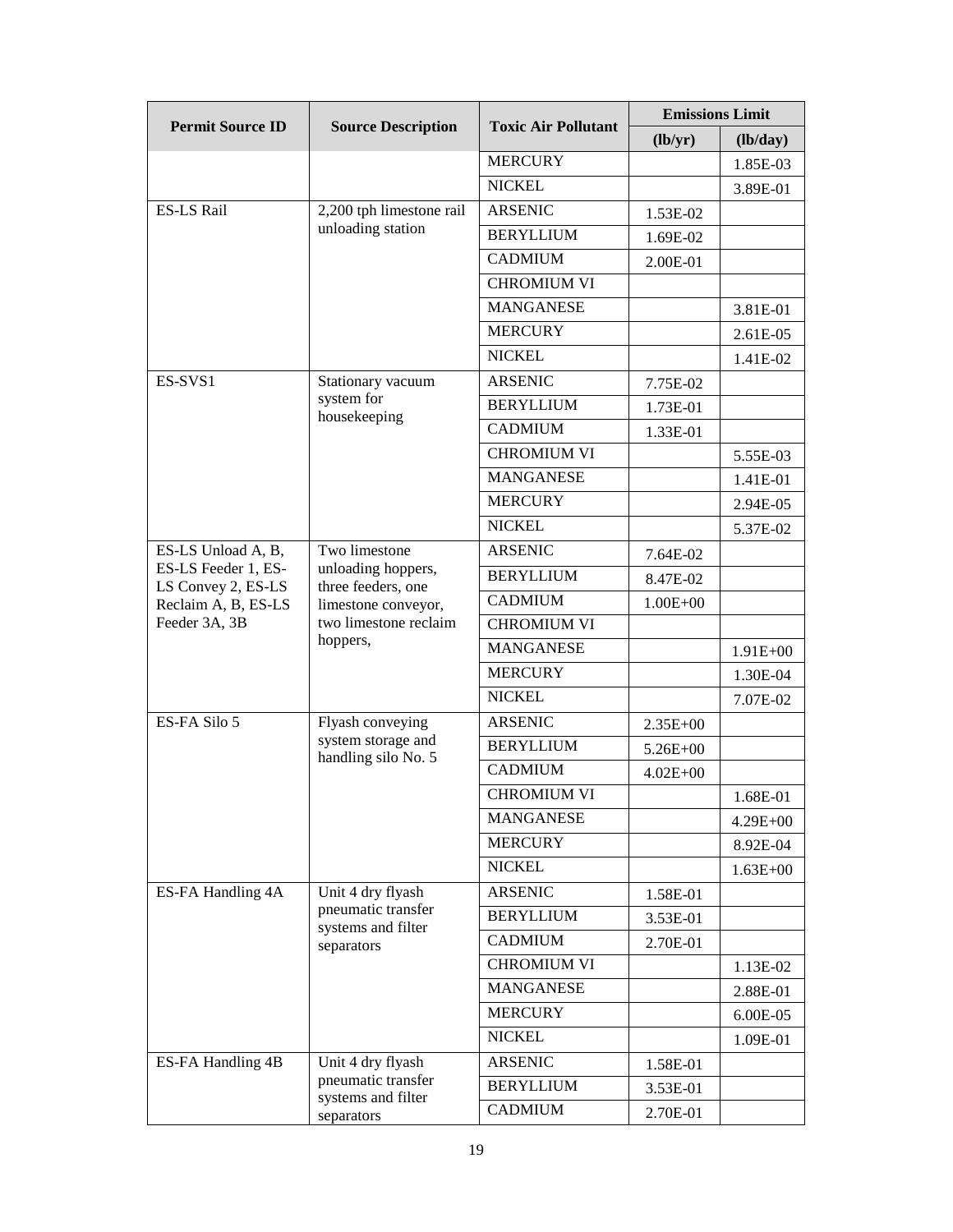| <b>Permit Source ID</b>                   | <b>Source Description</b>                                     | <b>Toxic Air Pollutant</b> | <b>Emissions Limit</b> |              |
|-------------------------------------------|---------------------------------------------------------------|----------------------------|------------------------|--------------|
|                                           |                                                               |                            | (lb/yr)                | (lb/day)     |
|                                           |                                                               | <b>MERCURY</b>             |                        | 1.85E-03     |
|                                           |                                                               | <b>NICKEL</b>              |                        | 3.89E-01     |
| <b>ES-LS Rail</b>                         | 2,200 tph limestone rail                                      | <b>ARSENIC</b>             | 1.53E-02               |              |
|                                           | unloading station                                             | <b>BERYLLIUM</b>           | 1.69E-02               |              |
|                                           |                                                               | <b>CADMIUM</b>             | 2.00E-01               |              |
|                                           |                                                               | <b>CHROMIUM VI</b>         |                        |              |
|                                           |                                                               | <b>MANGANESE</b>           |                        | 3.81E-01     |
|                                           |                                                               | <b>MERCURY</b>             |                        | 2.61E-05     |
|                                           |                                                               | <b>NICKEL</b>              |                        | 1.41E-02     |
| ES-SVS1                                   | Stationary vacuum                                             | <b>ARSENIC</b>             | 7.75E-02               |              |
|                                           | system for<br>housekeeping                                    | <b>BERYLLIUM</b>           | 1.73E-01               |              |
|                                           |                                                               | <b>CADMIUM</b>             | 1.33E-01               |              |
|                                           |                                                               | <b>CHROMIUM VI</b>         |                        | 5.55E-03     |
|                                           |                                                               | <b>MANGANESE</b>           |                        | 1.41E-01     |
|                                           |                                                               | <b>MERCURY</b>             |                        | 2.94E-05     |
|                                           |                                                               | <b>NICKEL</b>              |                        | 5.37E-02     |
| ES-LS Unload A, B,                        | Two limestone                                                 | <b>ARSENIC</b>             | 7.64E-02               |              |
| ES-LS Feeder 1, ES-                       | unloading hoppers,<br>three feeders, one                      | <b>BERYLLIUM</b>           | 8.47E-02               |              |
| LS Convey 2, ES-LS<br>Reclaim A, B, ES-LS | limestone conveyor,                                           | <b>CADMIUM</b>             | $1.00E + 00$           |              |
| Feeder 3A, 3B                             | two limestone reclaim                                         | <b>CHROMIUM VI</b>         |                        |              |
|                                           | hoppers,                                                      | <b>MANGANESE</b>           |                        | $1.91E + 00$ |
|                                           |                                                               | <b>MERCURY</b>             |                        | 1.30E-04     |
|                                           |                                                               | <b>NICKEL</b>              |                        | 7.07E-02     |
| ES-FA Silo 5                              | Flyash conveying<br>system storage and<br>handling silo No. 5 | <b>ARSENIC</b>             | $2.35E+00$             |              |
|                                           |                                                               | <b>BERYLLIUM</b>           | $5.26E + 00$           |              |
|                                           |                                                               | <b>CADMIUM</b>             | $4.02E + 00$           |              |
|                                           |                                                               | <b>CHROMIUM VI</b>         |                        | 1.68E-01     |
|                                           |                                                               | <b>MANGANESE</b>           |                        | $4.29E + 00$ |
|                                           |                                                               | <b>MERCURY</b>             |                        | 8.92E-04     |
|                                           |                                                               | <b>NICKEL</b>              |                        | $1.63E + 00$ |
| ES-FA Handling 4A                         | Unit 4 dry flyash<br>pneumatic transfer                       | <b>ARSENIC</b>             | 1.58E-01               |              |
|                                           |                                                               | <b>BERYLLIUM</b>           | 3.53E-01               |              |
|                                           | systems and filter<br>separators                              | <b>CADMIUM</b>             | 2.70E-01               |              |
|                                           |                                                               | <b>CHROMIUM VI</b>         |                        | 1.13E-02     |
|                                           |                                                               | <b>MANGANESE</b>           |                        | 2.88E-01     |
|                                           |                                                               | <b>MERCURY</b>             |                        | 6.00E-05     |
|                                           |                                                               | <b>NICKEL</b>              |                        | 1.09E-01     |
| ES-FA Handling 4B                         | Unit 4 dry flyash                                             | <b>ARSENIC</b>             | 1.58E-01               |              |
|                                           | pneumatic transfer                                            | <b>BERYLLIUM</b>           | 3.53E-01               |              |
|                                           | systems and filter<br>separators                              | <b>CADMIUM</b>             | 2.70E-01               |              |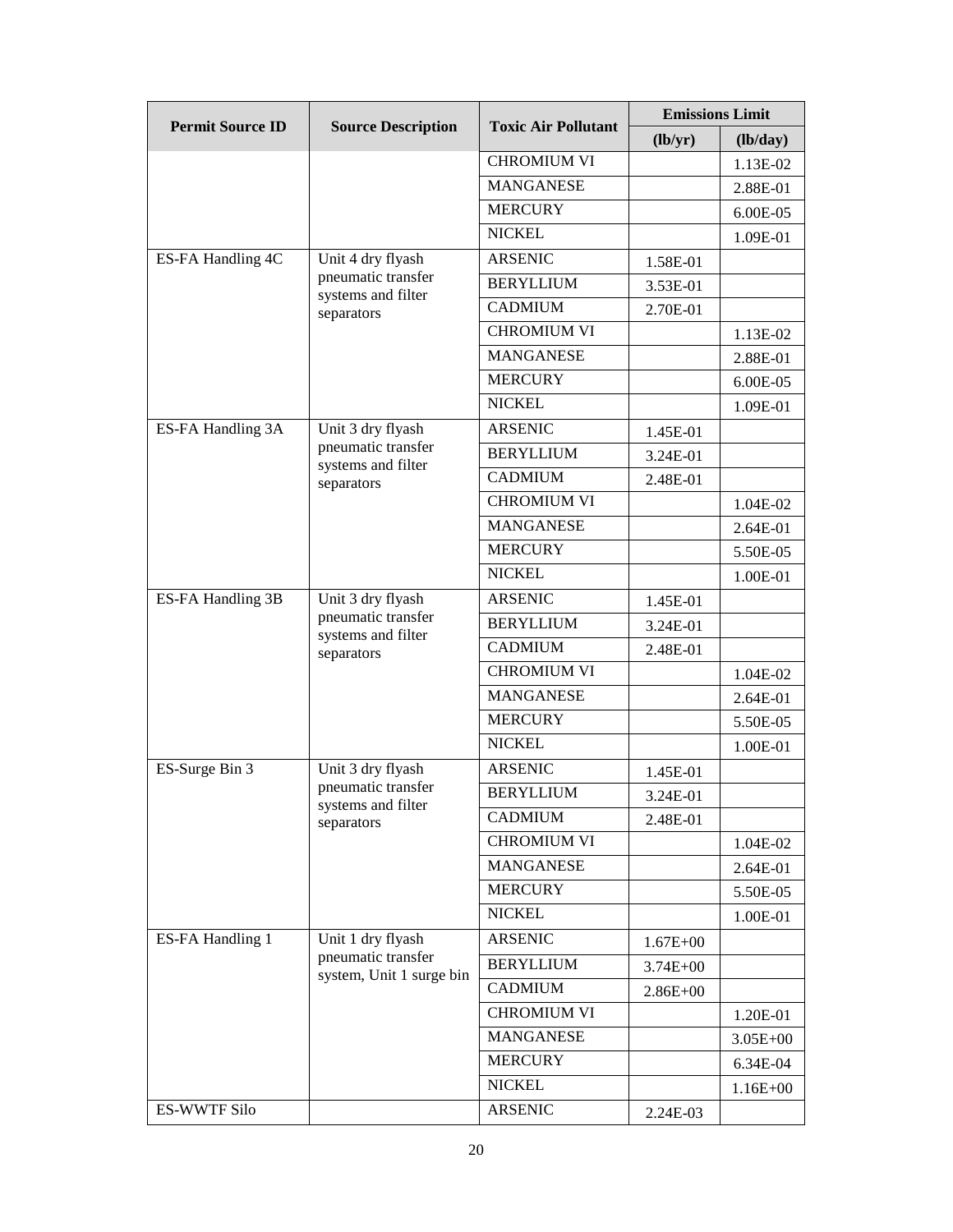| <b>Permit Source ID</b> | <b>Source Description</b>                                           | <b>Toxic Air Pollutant</b> | <b>Emissions Limit</b>      |               |
|-------------------------|---------------------------------------------------------------------|----------------------------|-----------------------------|---------------|
|                         |                                                                     |                            | $(\mathbf{lb}/\mathbf{yr})$ | (lb/day)      |
|                         |                                                                     | <b>CHROMIUM VI</b>         |                             | 1.13E-02      |
|                         |                                                                     | <b>MANGANESE</b>           |                             | 2.88E-01      |
|                         |                                                                     | <b>MERCURY</b>             |                             | $6.00E - 0.5$ |
|                         |                                                                     | <b>NICKEL</b>              |                             | 1.09E-01      |
| ES-FA Handling 4C       | Unit 4 dry flyash                                                   | <b>ARSENIC</b>             | 1.58E-01                    |               |
|                         | pneumatic transfer<br>systems and filter                            | <b>BERYLLIUM</b>           | 3.53E-01                    |               |
|                         | separators                                                          | <b>CADMIUM</b>             | 2.70E-01                    |               |
|                         |                                                                     | <b>CHROMIUM VI</b>         |                             | 1.13E-02      |
|                         |                                                                     | <b>MANGANESE</b>           |                             | 2.88E-01      |
|                         |                                                                     | <b>MERCURY</b>             |                             | 6.00E-05      |
|                         |                                                                     | <b>NICKEL</b>              |                             | 1.09E-01      |
| ES-FA Handling 3A       | Unit 3 dry flyash                                                   | <b>ARSENIC</b>             | 1.45E-01                    |               |
|                         | pneumatic transfer<br>systems and filter                            | <b>BERYLLIUM</b>           | 3.24E-01                    |               |
|                         | separators                                                          | <b>CADMIUM</b>             | 2.48E-01                    |               |
|                         |                                                                     | <b>CHROMIUM VI</b>         |                             | 1.04E-02      |
|                         |                                                                     | <b>MANGANESE</b>           |                             | 2.64E-01      |
|                         |                                                                     | <b>MERCURY</b>             |                             | 5.50E-05      |
|                         |                                                                     | <b>NICKEL</b>              |                             | 1.00E-01      |
| ES-FA Handling 3B       | Unit 3 dry flyash                                                   | <b>ARSENIC</b>             | 1.45E-01                    |               |
|                         | pneumatic transfer<br>systems and filter<br>separators              | <b>BERYLLIUM</b>           | 3.24E-01                    |               |
|                         |                                                                     | <b>CADMIUM</b>             | 2.48E-01                    |               |
|                         |                                                                     | <b>CHROMIUM VI</b>         |                             | 1.04E-02      |
|                         |                                                                     | <b>MANGANESE</b>           |                             | 2.64E-01      |
|                         |                                                                     | <b>MERCURY</b>             |                             | 5.50E-05      |
|                         |                                                                     | <b>NICKEL</b>              |                             | 1.00E-01      |
| ES-Surge Bin 3          | Unit 3 dry flyash                                                   | <b>ARSENIC</b>             | 1.45E-01                    |               |
|                         | pneumatic transfer<br>systems and filter<br>separators              | <b>BERYLLIUM</b>           | 3.24E-01                    |               |
|                         |                                                                     | <b>CADMIUM</b>             | 2.48E-01                    |               |
|                         |                                                                     | <b>CHROMIUM VI</b>         |                             | 1.04E-02      |
|                         |                                                                     | <b>MANGANESE</b>           |                             | 2.64E-01      |
|                         |                                                                     | <b>MERCURY</b>             |                             | 5.50E-05      |
|                         |                                                                     | <b>NICKEL</b>              |                             | 1.00E-01      |
| ES-FA Handling 1        | Unit 1 dry flyash<br>pneumatic transfer<br>system, Unit 1 surge bin | <b>ARSENIC</b>             | $1.67E + 00$                |               |
|                         |                                                                     | <b>BERYLLIUM</b>           | $3.74E + 00$                |               |
|                         |                                                                     | <b>CADMIUM</b>             | $2.86E + 00$                |               |
|                         |                                                                     | <b>CHROMIUM VI</b>         |                             | 1.20E-01      |
|                         |                                                                     | <b>MANGANESE</b>           |                             | $3.05E + 00$  |
|                         |                                                                     | <b>MERCURY</b>             |                             | 6.34E-04      |
|                         |                                                                     | <b>NICKEL</b>              |                             | 1.16E+00      |
| <b>ES-WWTF Silo</b>     |                                                                     | <b>ARSENIC</b>             | 2.24E-03                    |               |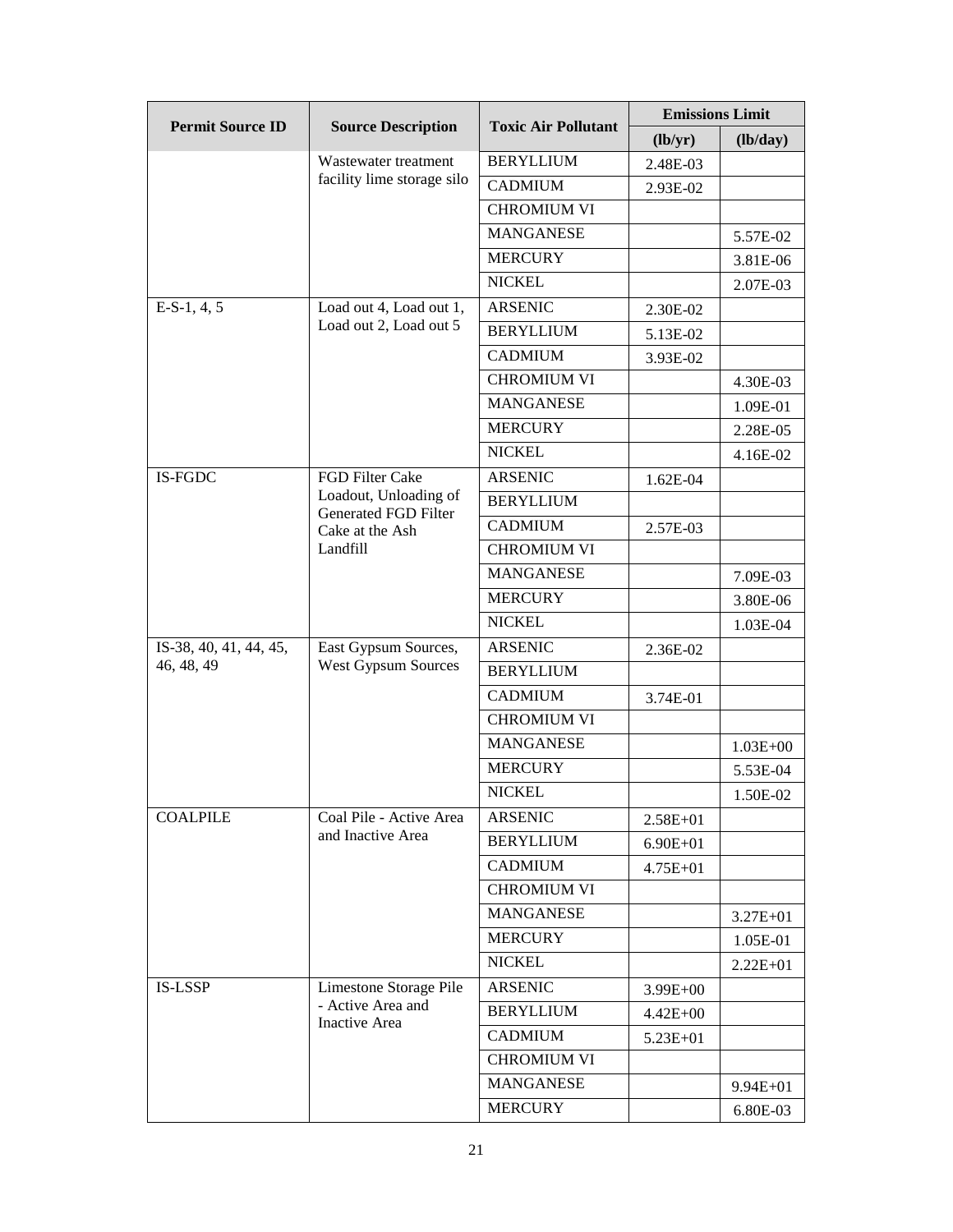| <b>Permit Source ID</b> | <b>Source Description</b>                                    | <b>Toxic Air Pollutant</b> | <b>Emissions Limit</b> |              |
|-------------------------|--------------------------------------------------------------|----------------------------|------------------------|--------------|
|                         |                                                              |                            | (lb/yr)                | (lb/day)     |
|                         | Wastewater treatment                                         | <b>BERYLLIUM</b>           | 2.48E-03               |              |
|                         | facility lime storage silo                                   | <b>CADMIUM</b>             | 2.93E-02               |              |
|                         |                                                              | <b>CHROMIUM VI</b>         |                        |              |
|                         |                                                              | <b>MANGANESE</b>           |                        | 5.57E-02     |
|                         |                                                              | <b>MERCURY</b>             |                        | 3.81E-06     |
|                         |                                                              | <b>NICKEL</b>              |                        | 2.07E-03     |
| $E-S-1, 4, 5$           | Load out 4, Load out 1,<br>Load out 2, Load out 5            | <b>ARSENIC</b>             | 2.30E-02               |              |
|                         |                                                              | <b>BERYLLIUM</b>           | 5.13E-02               |              |
|                         |                                                              | <b>CADMIUM</b>             | 3.93E-02               |              |
|                         |                                                              | <b>CHROMIUM VI</b>         |                        | 4.30E-03     |
|                         |                                                              | <b>MANGANESE</b>           |                        | 1.09E-01     |
|                         |                                                              | <b>MERCURY</b>             |                        | 2.28E-05     |
|                         |                                                              | <b>NICKEL</b>              |                        | 4.16E-02     |
| IS-FGDC                 | FGD Filter Cake                                              | <b>ARSENIC</b>             | 1.62E-04               |              |
|                         | Loadout, Unloading of                                        | <b>BERYLLIUM</b>           |                        |              |
|                         | <b>Generated FGD Filter</b><br>Cake at the Ash               | <b>CADMIUM</b>             | 2.57E-03               |              |
|                         | Landfill                                                     | <b>CHROMIUM VI</b>         |                        |              |
|                         |                                                              | <b>MANGANESE</b>           |                        | 7.09E-03     |
|                         |                                                              | <b>MERCURY</b>             |                        | 3.80E-06     |
|                         |                                                              | <b>NICKEL</b>              |                        | 1.03E-04     |
| IS-38, 40, 41, 44, 45,  | East Gypsum Sources,                                         | <b>ARSENIC</b>             | 2.36E-02               |              |
| 46, 48, 49              | <b>West Gypsum Sources</b>                                   | <b>BERYLLIUM</b>           |                        |              |
|                         |                                                              | <b>CADMIUM</b>             | 3.74E-01               |              |
|                         |                                                              | <b>CHROMIUM VI</b>         |                        |              |
|                         |                                                              | <b>MANGANESE</b>           |                        | $1.03E + 00$ |
|                         |                                                              | <b>MERCURY</b>             |                        | 5.53E-04     |
|                         |                                                              | <b>NICKEL</b>              |                        | 1.50E-02     |
| <b>COALPILE</b>         | Coal Pile - Active Area                                      | ARSENIC                    | $2.58E+01$             |              |
|                         | and Inactive Area                                            | <b>BERYLLIUM</b>           | $6.90E + 01$           |              |
|                         |                                                              | <b>CADMIUM</b>             | $4.75E + 01$           |              |
|                         |                                                              | <b>CHROMIUM VI</b>         |                        |              |
|                         |                                                              | <b>MANGANESE</b>           |                        | 3.27E+01     |
|                         |                                                              | <b>MERCURY</b>             |                        | 1.05E-01     |
|                         |                                                              | <b>NICKEL</b>              |                        | $2.22E + 01$ |
| <b>IS-LSSP</b>          | Limestone Storage Pile<br>- Active Area and<br>Inactive Area | <b>ARSENIC</b>             | $3.99E+00$             |              |
|                         |                                                              | <b>BERYLLIUM</b>           | $4.42E + 00$           |              |
|                         |                                                              | <b>CADMIUM</b>             | 5.23E+01               |              |
|                         |                                                              | <b>CHROMIUM VI</b>         |                        |              |
|                         |                                                              | <b>MANGANESE</b>           |                        | $9.94E + 01$ |
|                         |                                                              | <b>MERCURY</b>             |                        | 6.80E-03     |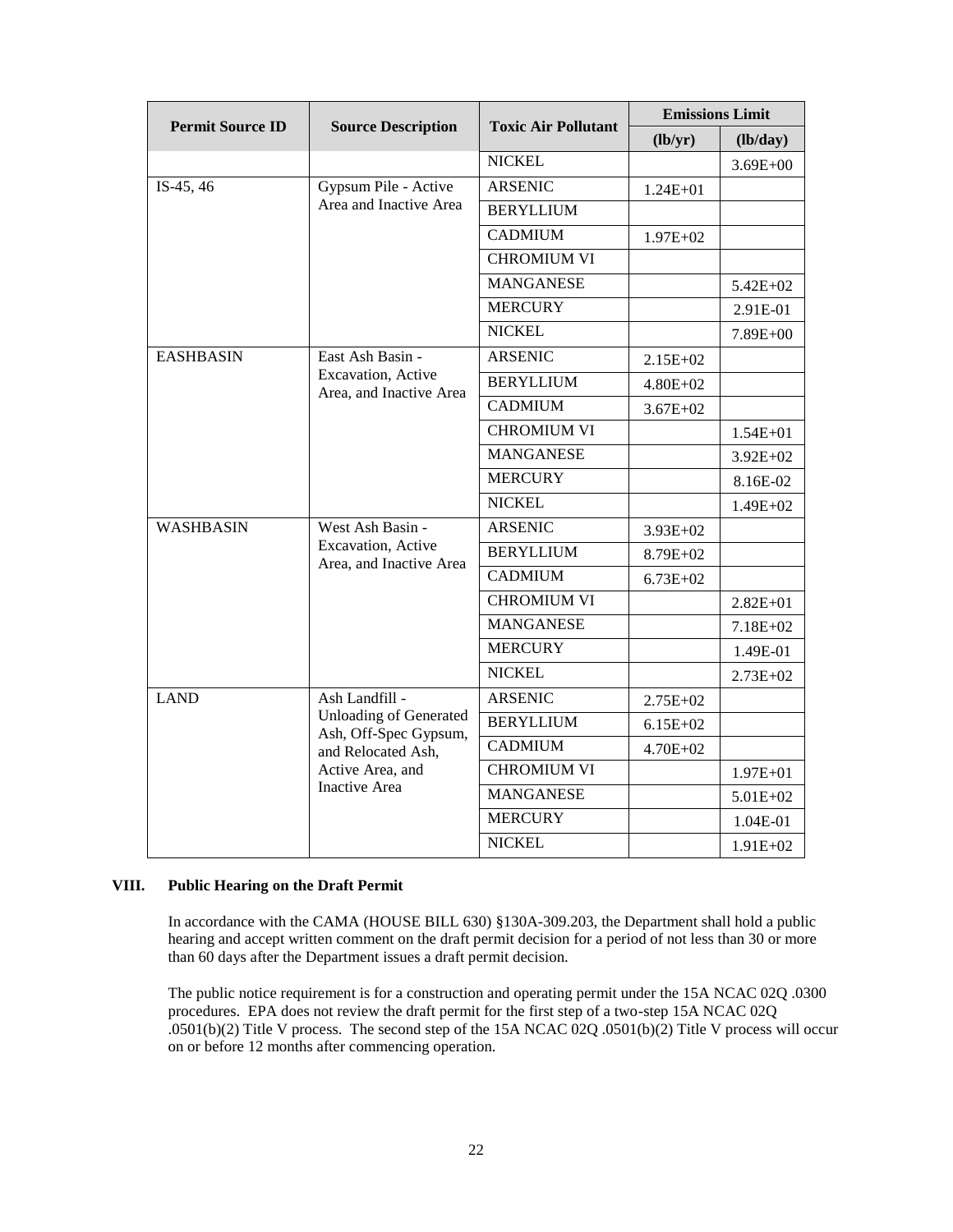| <b>Permit Source ID</b> | <b>Source Description</b>                                                                                                                  | <b>Toxic Air Pollutant</b> | <b>Emissions Limit</b> |              |
|-------------------------|--------------------------------------------------------------------------------------------------------------------------------------------|----------------------------|------------------------|--------------|
|                         |                                                                                                                                            |                            | (lb/yr)                | (lb/day)     |
|                         |                                                                                                                                            | <b>NICKEL</b>              |                        | $3.69E + 00$ |
| IS-45, 46               | Gypsum Pile - Active                                                                                                                       | <b>ARSENIC</b>             | $1.24E + 01$           |              |
|                         | Area and Inactive Area                                                                                                                     | <b>BERYLLIUM</b>           |                        |              |
|                         |                                                                                                                                            | <b>CADMIUM</b>             | $1.97E + 02$           |              |
|                         |                                                                                                                                            | <b>CHROMIUM VI</b>         |                        |              |
|                         |                                                                                                                                            | <b>MANGANESE</b>           |                        | 5.42E+02     |
|                         |                                                                                                                                            | <b>MERCURY</b>             |                        | 2.91E-01     |
|                         |                                                                                                                                            | <b>NICKEL</b>              |                        | 7.89E+00     |
| <b>EASHBASIN</b>        | East Ash Basin -                                                                                                                           | <b>ARSENIC</b>             | $2.15E+02$             |              |
|                         | Excavation, Active<br>Area, and Inactive Area                                                                                              | <b>BERYLLIUM</b>           | $4.80E + 02$           |              |
|                         |                                                                                                                                            | <b>CADMIUM</b>             | $3.67E + 02$           |              |
|                         |                                                                                                                                            | <b>CHROMIUM VI</b>         |                        | $1.54E + 01$ |
|                         |                                                                                                                                            | <b>MANGANESE</b>           |                        | $3.92E + 02$ |
|                         |                                                                                                                                            | <b>MERCURY</b>             |                        | 8.16E-02     |
|                         |                                                                                                                                            | <b>NICKEL</b>              |                        | 1.49E+02     |
| <b>WASHBASIN</b>        | West Ash Basin -<br>Excavation, Active<br>Area, and Inactive Area                                                                          | <b>ARSENIC</b>             | $3.93E + 02$           |              |
|                         |                                                                                                                                            | <b>BERYLLIUM</b>           | $8.79E + 02$           |              |
|                         |                                                                                                                                            | <b>CADMIUM</b>             | $6.73E + 02$           |              |
|                         |                                                                                                                                            | <b>CHROMIUM VI</b>         |                        | $2.82E + 01$ |
|                         |                                                                                                                                            | <b>MANGANESE</b>           |                        | 7.18E+02     |
|                         |                                                                                                                                            | <b>MERCURY</b>             |                        | 1.49E-01     |
|                         |                                                                                                                                            | <b>NICKEL</b>              |                        | 2.73E+02     |
| <b>LAND</b>             | Ash Landfill -<br><b>Unloading of Generated</b><br>Ash, Off-Spec Gypsum,<br>and Relocated Ash,<br>Active Area, and<br><b>Inactive Area</b> | <b>ARSENIC</b>             | 2.75E+02               |              |
|                         |                                                                                                                                            | <b>BERYLLIUM</b>           | $6.15E + 02$           |              |
|                         |                                                                                                                                            | <b>CADMIUM</b>             | 4.70E+02               |              |
|                         |                                                                                                                                            | <b>CHROMIUM VI</b>         |                        | $1.97E + 01$ |
|                         |                                                                                                                                            | <b>MANGANESE</b>           |                        | 5.01E+02     |
|                         |                                                                                                                                            | <b>MERCURY</b>             |                        | 1.04E-01     |
|                         |                                                                                                                                            | <b>NICKEL</b>              |                        | 1.91E+02     |

### **VIII. Public Hearing on the Draft Permit**

In accordance with the CAMA (HOUSE BILL 630) §130A-309.203, the Department shall hold a public hearing and accept written comment on the draft permit decision for a period of not less than 30 or more than 60 days after the Department issues a draft permit decision.

The public notice requirement is for a construction and operating permit under the 15A NCAC 02Q .0300 procedures. EPA does not review the draft permit for the first step of a two-step 15A NCAC 02Q .0501(b)(2) Title V process. The second step of the 15A NCAC 02Q .0501(b)(2) Title V process will occur on or before 12 months after commencing operation.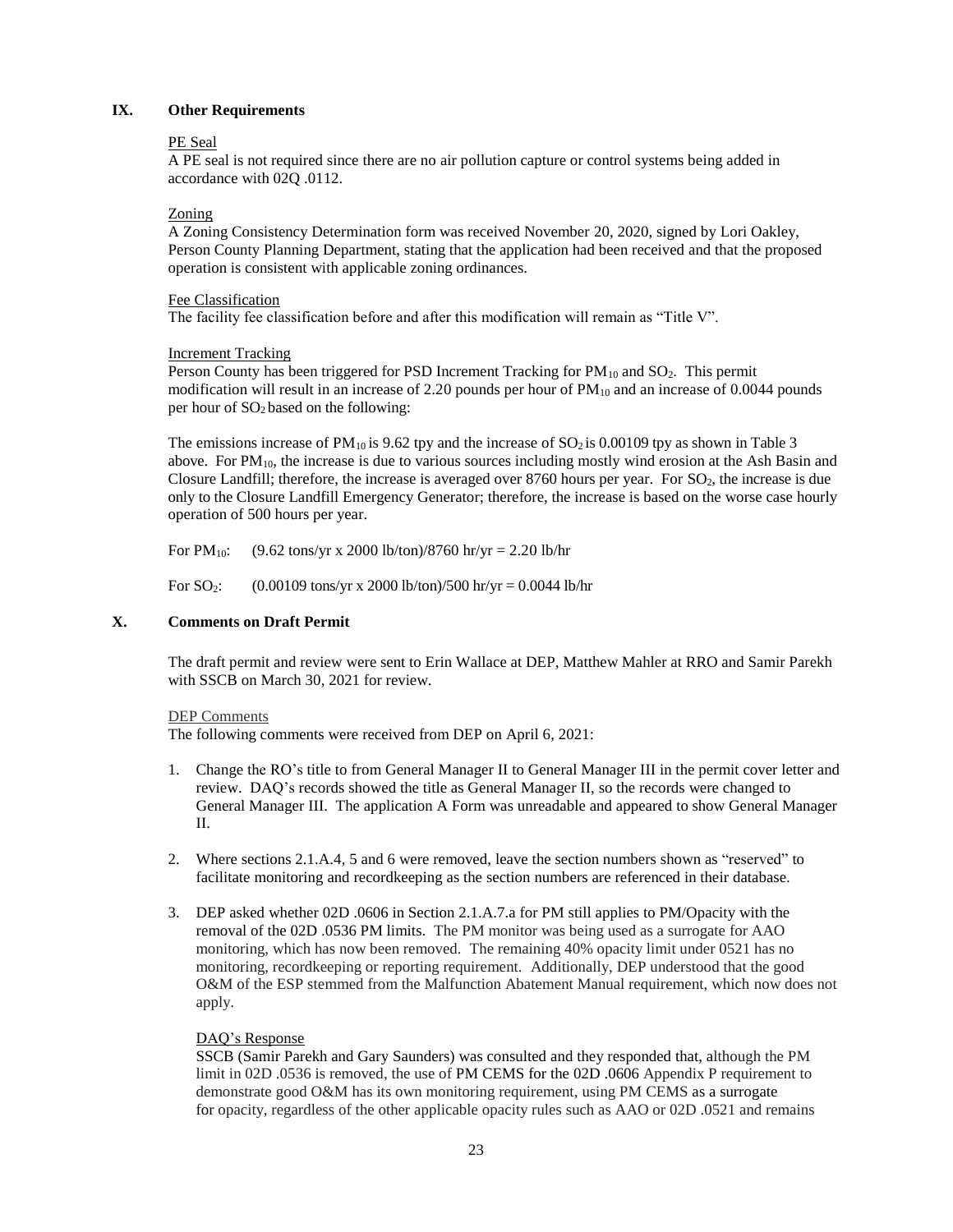### **IX. Other Requirements**

### PE Seal

A PE seal is not required since there are no air pollution capture or control systems being added in accordance with 02Q .0112.

### Zoning

A Zoning Consistency Determination form was received November 20, 2020, signed by Lori Oakley, Person County Planning Department, stating that the application had been received and that the proposed operation is consistent with applicable zoning ordinances.

### Fee Classification

The facility fee classification before and after this modification will remain as "Title V".

## Increment Tracking

Person County has been triggered for PSD Increment Tracking for  $PM_{10}$  and  $SO_2$ . This permit modification will result in an increase of 2.20 pounds per hour of  $PM_{10}$  and an increase of 0.0044 pounds per hour of  $SO<sub>2</sub>$  based on the following:

The emissions increase of  $PM_{10}$  is 9.62 tpy and the increase of  $SO_2$  is 0.00109 tpy as shown in Table 3 above. For PM10, the increase is due to various sources including mostly wind erosion at the Ash Basin and Closure Landfill; therefore, the increase is averaged over 8760 hours per year. For SO2, the increase is due only to the Closure Landfill Emergency Generator; therefore, the increase is based on the worse case hourly operation of 500 hours per year.

For  $PM_{10}$ : (9.62 tons/yr x 2000 lb/ton)/8760 hr/yr = 2.20 lb/hr

For  $SO_2$ : (0.00109 tons/yr x 2000 lb/ton)/500 hr/yr = 0.0044 lb/hr

### **X. Comments on Draft Permit**

The draft permit and review were sent to Erin Wallace at DEP, Matthew Mahler at RRO and Samir Parekh with SSCB on March 30, 2021 for review.

### DEP Comments

The following comments were received from DEP on April 6, 2021:

- 1. Change the RO's title to from General Manager II to General Manager III in the permit cover letter and review. DAQ's records showed the title as General Manager II, so the records were changed to General Manager III. The application A Form was unreadable and appeared to show General Manager II.
- 2. Where sections 2.1.A.4, 5 and 6 were removed, leave the section numbers shown as "reserved" to facilitate monitoring and recordkeeping as the section numbers are referenced in their database.
- 3. DEP asked whether 02D .0606 in Section 2.1.A.7.a for PM still applies to PM/Opacity with the removal of the 02D .0536 PM limits. The PM monitor was being used as a surrogate for AAO monitoring, which has now been removed. The remaining 40% opacity limit under 0521 has no monitoring, recordkeeping or reporting requirement. Additionally, DEP understood that the good O&M of the ESP stemmed from the Malfunction Abatement Manual requirement, which now does not apply.

### DAQ's Response

SSCB (Samir Parekh and Gary Saunders) was consulted and they responded that, although the PM limit in 02D .0536 is removed, the use of PM CEMS for the 02D .0606 Appendix P requirement to demonstrate good O&M has its own monitoring requirement, using PM CEMS as a surrogate for opacity, regardless of the other applicable opacity rules such as AAO or 02D .0521 and remains